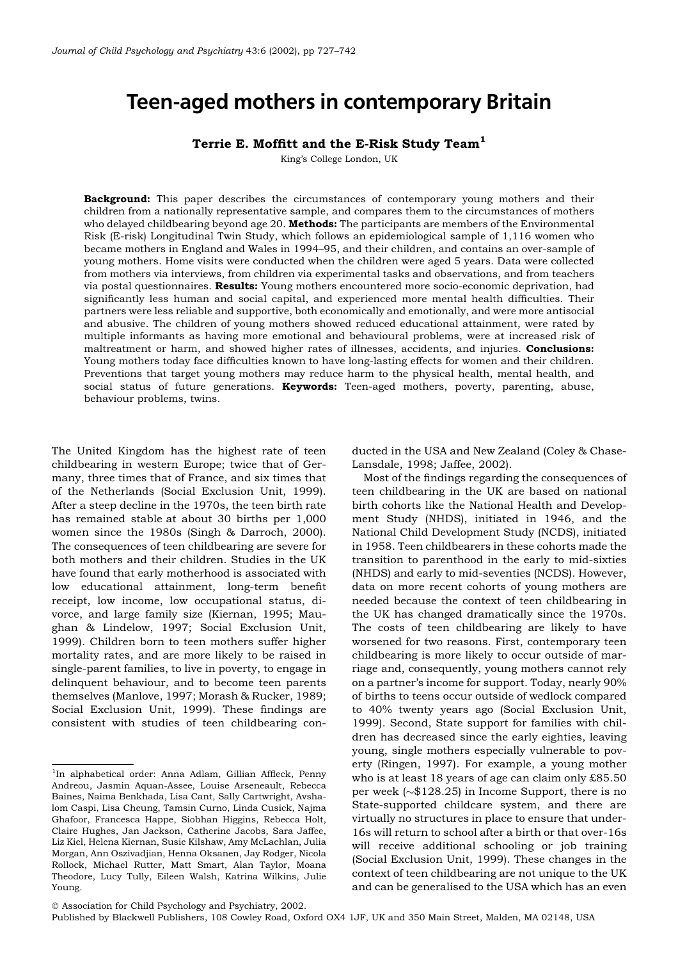# Teen-aged mothers in contemporary Britain

# Terrie E. Moffitt and the E-Risk Study Team<sup>1</sup>

King's College London, UK

Background: This paper describes the circumstances of contemporary young mothers and their children from a nationally representative sample, and compares them to the circumstances of mothers who delayed childbearing beyond age 20. **Methods:** The participants are members of the Environmental Risk (E-risk) Longitudinal Twin Study, which follows an epidemiological sample of 1,116 women who became mothers in England and Wales in 1994–95, and their children, and contains an over-sample of young mothers. Home visits were conducted when the children were aged 5 years. Data were collected from mothers via interviews, from children via experimental tasks and observations, and from teachers via postal questionnaires. Results: Young mothers encountered more socio-economic deprivation, had significantly less human and social capital, and experienced more mental health difficulties. Their partners were less reliable and supportive, both economically and emotionally, and were more antisocial and abusive. The children of young mothers showed reduced educational attainment, were rated by multiple informants as having more emotional and behavioural problems, were at increased risk of maltreatment or harm, and showed higher rates of illnesses, accidents, and injuries. **Conclusions:** Young mothers today face difficulties known to have long-lasting effects for women and their children. Preventions that target young mothers may reduce harm to the physical health, mental health, and social status of future generations. **Keywords:** Teen-aged mothers, poverty, parenting, abuse, behaviour problems, twins.

The United Kingdom has the highest rate of teen childbearing in western Europe; twice that of Germany, three times that of France, and six times that of the Netherlands (Social Exclusion Unit, 1999). After a steep decline in the 1970s, the teen birth rate has remained stable at about 30 births per 1,000 women since the 1980s (Singh & Darroch, 2000). The consequences of teen childbearing are severe for both mothers and their children. Studies in the UK have found that early motherhood is associated with low educational attainment, long-term benefit receipt, low income, low occupational status, divorce, and large family size (Kiernan, 1995; Maughan & Lindelow, 1997; Social Exclusion Unit, 1999). Children born to teen mothers suffer higher mortality rates, and are more likely to be raised in single-parent families, to live in poverty, to engage in delinquent behaviour, and to become teen parents themselves (Manlove, 1997; Morash & Rucker, 1989; Social Exclusion Unit, 1999). These findings are consistent with studies of teen childbearing conducted in the USA and New Zealand (Coley & Chase-Lansdale, 1998; Jaffee, 2002).

Most of the findings regarding the consequences of teen childbearing in the UK are based on national birth cohorts like the National Health and Development Study (NHDS), initiated in 1946, and the National Child Development Study (NCDS), initiated in 1958. Teen childbearers in these cohorts made the transition to parenthood in the early to mid-sixties (NHDS) and early to mid-seventies (NCDS). However, data on more recent cohorts of young mothers are needed because the context of teen childbearing in the UK has changed dramatically since the 1970s. The costs of teen childbearing are likely to have worsened for two reasons. First, contemporary teen childbearing is more likely to occur outside of marriage and, consequently, young mothers cannot rely on a partner's income for support. Today, nearly 90% of births to teens occur outside of wedlock compared to 40% twenty years ago (Social Exclusion Unit, 1999). Second, State support for families with children has decreased since the early eighties, leaving young, single mothers especially vulnerable to poverty (Ringen, 1997). For example, a young mother who is at least 18 years of age can claim only £85.50 per week  $(\sim $128.25)$  in Income Support, there is no State-supported childcare system, and there are virtually no structures in place to ensure that under-16s will return to school after a birth or that over-16s will receive additional schooling or job training (Social Exclusion Unit, 1999). These changes in the context of teen childbearing are not unique to the UK and can be generalised to the USA which has an even

Association for Child Psychology and Psychiatry, 2002.

Published by Blackwell Publishers, 108 Cowley Road, Oxford OX4 1JF, UK and 350 Main Street, Malden, MA 02148, USA

<sup>&</sup>lt;sup>1</sup>In alphabetical order: Anna Adlam, Gillian Affleck, Penny Andreou, Jasmin Aquan-Assee, Louise Arseneault, Rebecca Baines, Naima Benkhada, Lisa Cant, Sally Cartwright, Avshalom Caspi, Lisa Cheung, Tamsin Curno, Linda Cusick, Najma Ghafoor, Francesca Happe, Siobhan Higgins, Rebecca Holt, Claire Hughes, Jan Jackson, Catherine Jacobs, Sara Jaffee, Liz Kiel, Helena Kiernan, Susie Kilshaw, Amy McLachlan, Julia Morgan, Ann Oszivadjian, Henna Oksanen, Jay Rodger, Nicola Rollock, Michael Rutter, Matt Smart, Alan Taylor, Moana Theodore, Lucy Tully, Eileen Walsh, Katrina Wilkins, Julie Young.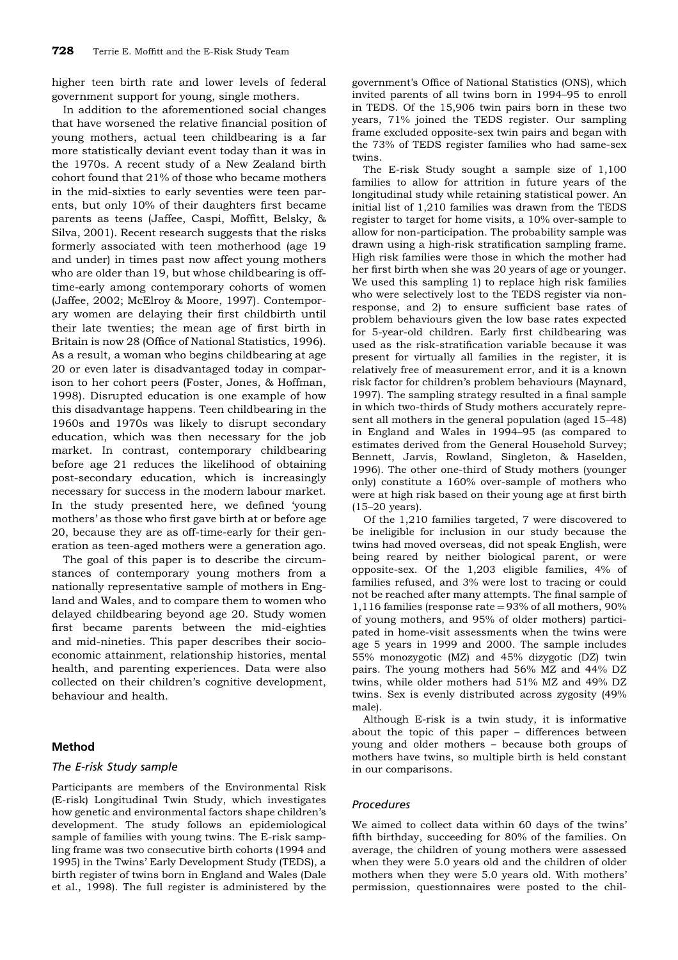higher teen birth rate and lower levels of federal government support for young, single mothers.

In addition to the aforementioned social changes that have worsened the relative financial position of young mothers, actual teen childbearing is a far more statistically deviant event today than it was in the 1970s. A recent study of a New Zealand birth cohort found that 21% of those who became mothers in the mid-sixties to early seventies were teen parents, but only 10% of their daughters first became parents as teens (Jaffee, Caspi, Moffitt, Belsky, & Silva, 2001). Recent research suggests that the risks formerly associated with teen motherhood (age 19 and under) in times past now affect young mothers who are older than 19, but whose childbearing is offtime-early among contemporary cohorts of women (Jaffee, 2002; McElroy & Moore, 1997). Contemporary women are delaying their first childbirth until their late twenties; the mean age of first birth in Britain is now 28 (Office of National Statistics, 1996). As a result, a woman who begins childbearing at age 20 or even later is disadvantaged today in comparison to her cohort peers (Foster, Jones, & Hoffman, 1998). Disrupted education is one example of how this disadvantage happens. Teen childbearing in the 1960s and 1970s was likely to disrupt secondary education, which was then necessary for the job market. In contrast, contemporary childbearing before age 21 reduces the likelihood of obtaining post-secondary education, which is increasingly necessary for success in the modern labour market. In the study presented here, we defined 'young mothers' as those who first gave birth at or before age 20, because they are as off-time-early for their generation as teen-aged mothers were a generation ago.

The goal of this paper is to describe the circumstances of contemporary young mothers from a nationally representative sample of mothers in England and Wales, and to compare them to women who delayed childbearing beyond age 20. Study women first became parents between the mid-eighties and mid-nineties. This paper describes their socioeconomic attainment, relationship histories, mental health, and parenting experiences. Data were also collected on their children's cognitive development, behaviour and health.

# Method

#### The E-risk Study sample

Participants are members of the Environmental Risk (E-risk) Longitudinal Twin Study, which investigates how genetic and environmental factors shape children's development. The study follows an epidemiological sample of families with young twins. The E-risk sampling frame was two consecutive birth cohorts (1994 and 1995) in the Twins' Early Development Study (TEDS), a birth register of twins born in England and Wales (Dale et al., 1998). The full register is administered by the

government's Office of National Statistics (ONS), which invited parents of all twins born in 1994–95 to enroll in TEDS. Of the 15,906 twin pairs born in these two years, 71% joined the TEDS register. Our sampling frame excluded opposite-sex twin pairs and began with the 73% of TEDS register families who had same-sex twins.

The E-risk Study sought a sample size of 1,100 families to allow for attrition in future years of the longitudinal study while retaining statistical power. An initial list of 1,210 families was drawn from the TEDS register to target for home visits, a 10% over-sample to allow for non-participation. The probability sample was drawn using a high-risk stratification sampling frame. High risk families were those in which the mother had her first birth when she was 20 years of age or younger. We used this sampling 1) to replace high risk families who were selectively lost to the TEDS register via nonresponse, and 2) to ensure sufficient base rates of problem behaviours given the low base rates expected for 5-year-old children. Early first childbearing was used as the risk-stratification variable because it was present for virtually all families in the register, it is relatively free of measurement error, and it is a known risk factor for children's problem behaviours (Maynard, 1997). The sampling strategy resulted in a final sample in which two-thirds of Study mothers accurately represent all mothers in the general population (aged 15–48) in England and Wales in 1994–95 (as compared to estimates derived from the General Household Survey; Bennett, Jarvis, Rowland, Singleton, & Haselden, 1996). The other one-third of Study mothers (younger only) constitute a 160% over-sample of mothers who were at high risk based on their young age at first birth (15–20 years).

Of the 1,210 families targeted, 7 were discovered to be ineligible for inclusion in our study because the twins had moved overseas, did not speak English, were being reared by neither biological parent, or were opposite-sex. Of the 1,203 eligible families, 4% of families refused, and 3% were lost to tracing or could not be reached after many attempts. The final sample of 1,116 families (response rate =  $93\%$  of all mothers,  $90\%$ of young mothers, and 95% of older mothers) participated in home-visit assessments when the twins were age 5 years in 1999 and 2000. The sample includes 55% monozygotic (MZ) and 45% dizygotic (DZ) twin pairs. The young mothers had 56% MZ and 44% DZ twins, while older mothers had 51% MZ and 49% DZ twins. Sex is evenly distributed across zygosity (49% male).

Although E-risk is a twin study, it is informative about the topic of this paper – differences between young and older mothers – because both groups of mothers have twins, so multiple birth is held constant in our comparisons.

#### Procedures

We aimed to collect data within 60 days of the twins' fifth birthday, succeeding for 80% of the families. On average, the children of young mothers were assessed when they were 5.0 years old and the children of older mothers when they were 5.0 years old. With mothers' permission, questionnaires were posted to the chil-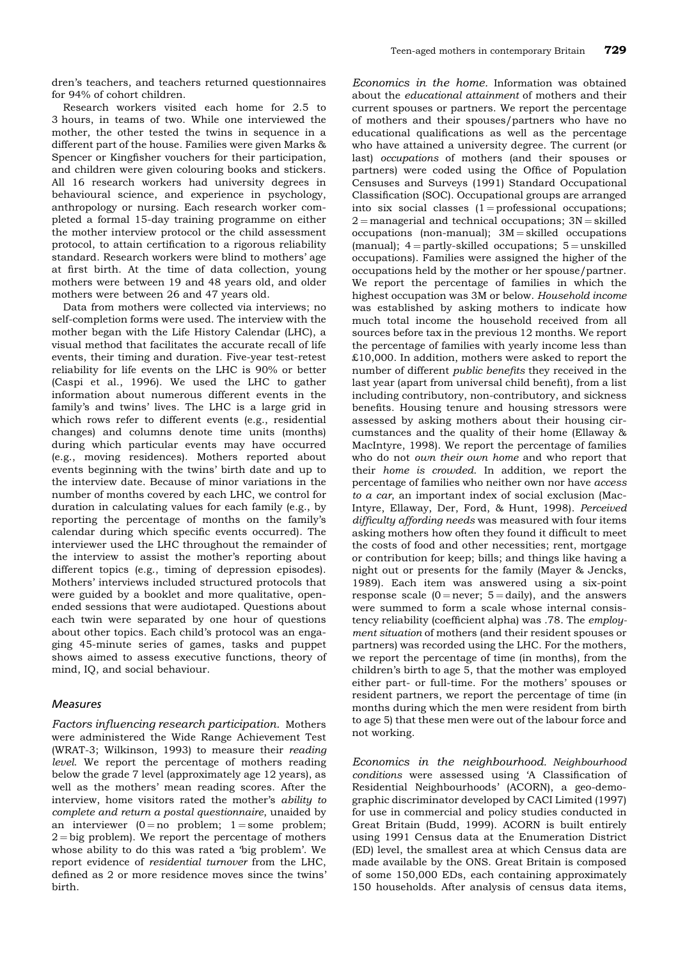dren's teachers, and teachers returned questionnaires for 94% of cohort children.

Research workers visited each home for 2.5 to 3 hours, in teams of two. While one interviewed the mother, the other tested the twins in sequence in a different part of the house. Families were given Marks & Spencer or Kingfisher vouchers for their participation, and children were given colouring books and stickers. All 16 research workers had university degrees in behavioural science, and experience in psychology, anthropology or nursing. Each research worker completed a formal 15-day training programme on either the mother interview protocol or the child assessment protocol, to attain certification to a rigorous reliability standard. Research workers were blind to mothers' age at first birth. At the time of data collection, young mothers were between 19 and 48 years old, and older mothers were between 26 and 47 years old.

Data from mothers were collected via interviews; no self-completion forms were used. The interview with the mother began with the Life History Calendar (LHC), a visual method that facilitates the accurate recall of life events, their timing and duration. Five-year test-retest reliability for life events on the LHC is 90% or better (Caspi et al., 1996). We used the LHC to gather information about numerous different events in the family's and twins' lives. The LHC is a large grid in which rows refer to different events (e.g., residential changes) and columns denote time units (months) during which particular events may have occurred (e.g., moving residences). Mothers reported about events beginning with the twins' birth date and up to the interview date. Because of minor variations in the number of months covered by each LHC, we control for duration in calculating values for each family (e.g., by reporting the percentage of months on the family's calendar during which specific events occurred). The interviewer used the LHC throughout the remainder of the interview to assist the mother's reporting about different topics (e.g., timing of depression episodes). Mothers' interviews included structured protocols that were guided by a booklet and more qualitative, openended sessions that were audiotaped. Questions about each twin were separated by one hour of questions about other topics. Each child's protocol was an engaging 45-minute series of games, tasks and puppet shows aimed to assess executive functions, theory of mind, IQ, and social behaviour.

# Measures

Factors influencing research participation. Mothers were administered the Wide Range Achievement Test (WRAT-3; Wilkinson, 1993) to measure their reading level. We report the percentage of mothers reading below the grade 7 level (approximately age 12 years), as well as the mothers' mean reading scores. After the interview, home visitors rated the mother's ability to complete and return a postal questionnaire, unaided by an interviewer  $(0 = no$  problem; 1 = some problem;  $2 = big$  problem). We report the percentage of mothers whose ability to do this was rated a 'big problem'. We report evidence of residential turnover from the LHC, defined as 2 or more residence moves since the twins' birth.

Economics in the home. Information was obtained about the *educational attainment* of mothers and their current spouses or partners. We report the percentage of mothers and their spouses/partners who have no educational qualifications as well as the percentage who have attained a university degree. The current (or last) occupations of mothers (and their spouses or partners) were coded using the Office of Population Censuses and Surveys (1991) Standard Occupational Classification (SOC). Occupational groups are arranged into six social classes  $(1 =$ professional occupations;  $2 =$ managerial and technical occupations;  $3N =$ skilled occupations (non-manual);  $3M =$ skilled occupations (manual);  $4 =$  partly-skilled occupations;  $5 =$  unskilled occupations). Families were assigned the higher of the occupations held by the mother or her spouse/partner. We report the percentage of families in which the highest occupation was 3M or below. Household income was established by asking mothers to indicate how much total income the household received from all sources before tax in the previous 12 months. We report the percentage of families with yearly income less than £10,000. In addition, mothers were asked to report the number of different public benefits they received in the last year (apart from universal child benefit), from a list including contributory, non-contributory, and sickness benefits. Housing tenure and housing stressors were assessed by asking mothers about their housing circumstances and the quality of their home (Ellaway & MacIntyre, 1998). We report the percentage of families who do not *own their own home* and who report that their home is crowded. In addition, we report the percentage of families who neither own nor have access to a car, an important index of social exclusion (Mac-Intyre, Ellaway, Der, Ford, & Hunt, 1998). Perceived difficulty affording needs was measured with four items asking mothers how often they found it difficult to meet the costs of food and other necessities; rent, mortgage or contribution for keep; bills; and things like having a night out or presents for the family (Mayer & Jencks, 1989). Each item was answered using a six-point response scale  $(0 = never; 5 = daily)$ , and the answers were summed to form a scale whose internal consistency reliability (coefficient alpha) was .78. The *employ*ment situation of mothers (and their resident spouses or partners) was recorded using the LHC. For the mothers, we report the percentage of time (in months), from the children's birth to age 5, that the mother was employed either part- or full-time. For the mothers' spouses or resident partners, we report the percentage of time (in months during which the men were resident from birth to age 5) that these men were out of the labour force and not working.

Economics in the neighbourhood. Neighbourhood conditions were assessed using 'A Classification of Residential Neighbourhoods' (ACORN), a geo-demographic discriminator developed by CACI Limited (1997) for use in commercial and policy studies conducted in Great Britain (Budd, 1999). ACORN is built entirely using 1991 Census data at the Enumeration District (ED) level, the smallest area at which Census data are made available by the ONS. Great Britain is composed of some 150,000 EDs, each containing approximately 150 households. After analysis of census data items,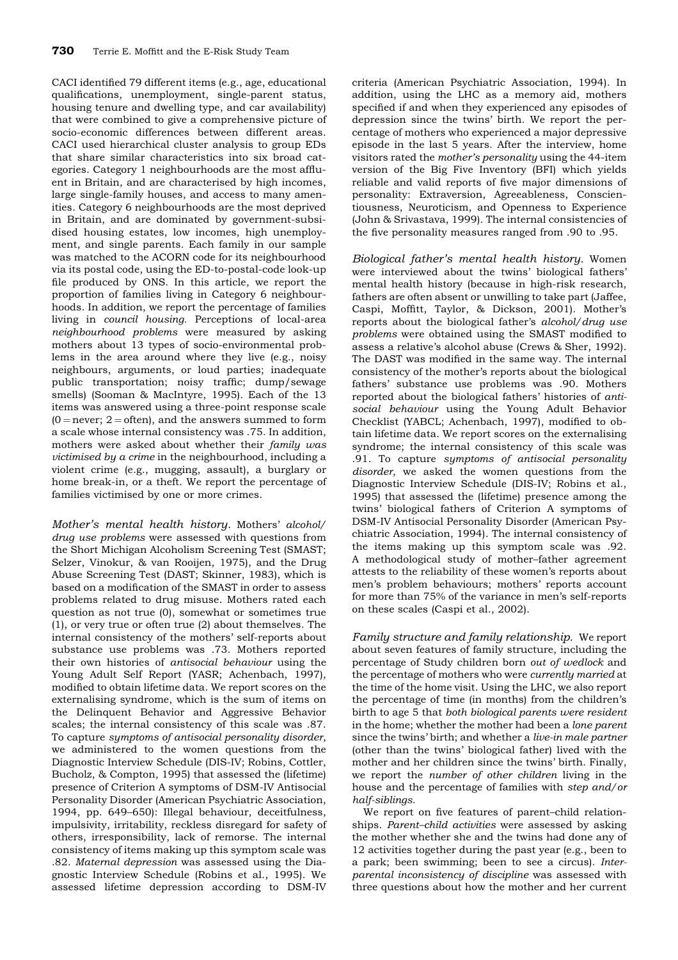CACI identified 79 different items (e.g., age, educational qualifications, unemployment, single-parent status, housing tenure and dwelling type, and car availability) that were combined to give a comprehensive picture of socio-economic differences between different areas. CACI used hierarchical cluster analysis to group EDs that share similar characteristics into six broad categories. Category 1 neighbourhoods are the most affluent in Britain, and are characterised by high incomes, large single-family houses, and access to many amenities. Category 6 neighbourhoods are the most deprived in Britain, and are dominated by government-subsidised housing estates, low incomes, high unemployment, and single parents. Each family in our sample was matched to the ACORN code for its neighbourhood via its postal code, using the ED-to-postal-code look-up file produced by ONS. In this article, we report the proportion of families living in Category 6 neighbourhoods. In addition, we report the percentage of families living in council housing. Perceptions of local-area neighbourhood problems were measured by asking mothers about 13 types of socio-environmental problems in the area around where they live (e.g., noisy neighbours, arguments, or loud parties; inadequate public transportation; noisy traffic; dump/sewage smells) (Sooman & MacIntyre, 1995). Each of the 13 items was answered using a three-point response scale  $(0 =$  never; 2 = often), and the answers summed to form a scale whose internal consistency was .75. In addition, mothers were asked about whether their family was victimised by a crime in the neighbourhood, including a violent crime (e.g., mugging, assault), a burglary or home break-in, or a theft. We report the percentage of families victimised by one or more crimes.

Mother's mental health history. Mothers' alcohol/ drug use problems were assessed with questions from the Short Michigan Alcoholism Screening Test (SMAST; Selzer, Vinokur, & van Rooijen, 1975), and the Drug Abuse Screening Test (DAST; Skinner, 1983), which is based on a modification of the SMAST in order to assess problems related to drug misuse. Mothers rated each question as not true (0), somewhat or sometimes true (1), or very true or often true (2) about themselves. The internal consistency of the mothers' self-reports about substance use problems was .73. Mothers reported their own histories of antisocial behaviour using the Young Adult Self Report (YASR; Achenbach, 1997), modified to obtain lifetime data. We report scores on the externalising syndrome, which is the sum of items on the Delinquent Behavior and Aggressive Behavior scales; the internal consistency of this scale was .87. To capture symptoms of antisocial personality disorder, we administered to the women questions from the Diagnostic Interview Schedule (DIS-IV; Robins, Cottler, Bucholz, & Compton, 1995) that assessed the (lifetime) presence of Criterion A symptoms of DSM-IV Antisocial Personality Disorder (American Psychiatric Association, 1994, pp. 649–650): Illegal behaviour, deceitfulness, impulsivity, irritability, reckless disregard for safety of others, irresponsibility, lack of remorse. The internal consistency of items making up this symptom scale was .82. Maternal depression was assessed using the Diagnostic Interview Schedule (Robins et al., 1995). We assessed lifetime depression according to DSM-IV

criteria (American Psychiatric Association, 1994). In addition, using the LHC as a memory aid, mothers specified if and when they experienced any episodes of depression since the twins' birth. We report the percentage of mothers who experienced a major depressive episode in the last 5 years. After the interview, home visitors rated the mother's personality using the 44-item version of the Big Five Inventory (BFI) which yields reliable and valid reports of five major dimensions of personality: Extraversion, Agreeableness, Conscientiousness, Neuroticism, and Openness to Experience (John & Srivastava, 1999). The internal consistencies of the five personality measures ranged from .90 to .95.

Biological father's mental health history. Women were interviewed about the twins' biological fathers' mental health history (because in high-risk research, fathers are often absent or unwilling to take part (Jaffee, Caspi, Moffitt, Taylor, & Dickson, 2001). Mother's reports about the biological father's alcohol/drug use problems were obtained using the SMAST modified to assess a relative's alcohol abuse (Crews & Sher, 1992). The DAST was modified in the same way. The internal consistency of the mother's reports about the biological fathers' substance use problems was .90. Mothers reported about the biological fathers' histories of antisocial behaviour using the Young Adult Behavior Checklist (YABCL; Achenbach, 1997), modified to obtain lifetime data. We report scores on the externalising syndrome; the internal consistency of this scale was .91. To capture symptoms of antisocial personality disorder, we asked the women questions from the Diagnostic Interview Schedule (DIS-IV; Robins et al., 1995) that assessed the (lifetime) presence among the twins' biological fathers of Criterion A symptoms of DSM-IV Antisocial Personality Disorder (American Psychiatric Association, 1994). The internal consistency of the items making up this symptom scale was .92. A methodological study of mother–father agreement attests to the reliability of these women's reports about men's problem behaviours; mothers' reports account for more than 75% of the variance in men's self-reports on these scales (Caspi et al., 2002).

Family structure and family relationship. We report about seven features of family structure, including the percentage of Study children born out of wedlock and the percentage of mothers who were *currently married* at the time of the home visit. Using the LHC, we also report the percentage of time (in months) from the children's birth to age 5 that both biological parents were resident in the home; whether the mother had been a lone parent since the twins' birth; and whether a live-in male partner (other than the twins' biological father) lived with the mother and her children since the twins' birth. Finally, we report the number of other children living in the house and the percentage of families with step and/or half-siblings.

We report on five features of parent–child relationships. Parent–child activities were assessed by asking the mother whether she and the twins had done any of 12 activities together during the past year (e.g., been to a park; been swimming; been to see a circus). Interparental inconsistency of discipline was assessed with three questions about how the mother and her current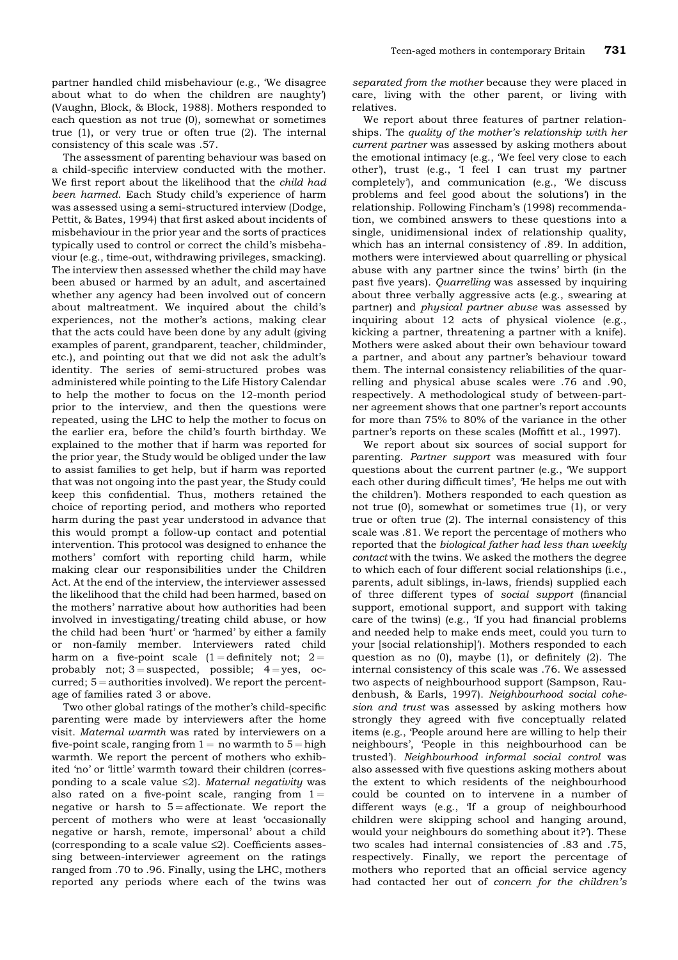partner handled child misbehaviour (e.g., 'We disagree about what to do when the children are naughty') (Vaughn, Block, & Block, 1988). Mothers responded to each question as not true (0), somewhat or sometimes true (1), or very true or often true (2). The internal consistency of this scale was .57.

The assessment of parenting behaviour was based on a child-specific interview conducted with the mother. We first report about the likelihood that the child had been harmed. Each Study child's experience of harm was assessed using a semi-structured interview (Dodge, Pettit, & Bates, 1994) that first asked about incidents of misbehaviour in the prior year and the sorts of practices typically used to control or correct the child's misbehaviour (e.g., time-out, withdrawing privileges, smacking). The interview then assessed whether the child may have been abused or harmed by an adult, and ascertained whether any agency had been involved out of concern about maltreatment. We inquired about the child's experiences, not the mother's actions, making clear that the acts could have been done by any adult (giving examples of parent, grandparent, teacher, childminder, etc.), and pointing out that we did not ask the adult's identity. The series of semi-structured probes was administered while pointing to the Life History Calendar to help the mother to focus on the 12-month period prior to the interview, and then the questions were repeated, using the LHC to help the mother to focus on the earlier era, before the child's fourth birthday. We explained to the mother that if harm was reported for the prior year, the Study would be obliged under the law to assist families to get help, but if harm was reported that was not ongoing into the past year, the Study could keep this confidential. Thus, mothers retained the choice of reporting period, and mothers who reported harm during the past year understood in advance that this would prompt a follow-up contact and potential intervention. This protocol was designed to enhance the mothers' comfort with reporting child harm, while making clear our responsibilities under the Children Act. At the end of the interview, the interviewer assessed the likelihood that the child had been harmed, based on the mothers' narrative about how authorities had been involved in investigating/treating child abuse, or how the child had been 'hurt' or 'harmed' by either a family or non-family member. Interviewers rated child harm on a five-point scale  $(1 = \text{definitely not}; 2 =$ probably not;  $3 =$  suspected, possible;  $4 =$ yes, occurred;  $5 =$  authorities involved). We report the percentage of families rated 3 or above.

Two other global ratings of the mother's child-specific parenting were made by interviewers after the home visit. Maternal warmth was rated by interviewers on a five-point scale, ranging from  $1 =$  no warmth to  $5 =$ high warmth. We report the percent of mothers who exhibited 'no' or 'little' warmth toward their children (corresponding to a scale value  $\leq$ 2). Maternal negativity was also rated on a five-point scale, ranging from  $1 =$ negative or harsh to  $5 =$  affectionate. We report the percent of mothers who were at least 'occasionally negative or harsh, remote, impersonal' about a child (corresponding to a scale value  $\leq$ ). Coefficients assessing between-interviewer agreement on the ratings ranged from .70 to .96. Finally, using the LHC, mothers reported any periods where each of the twins was

separated from the mother because they were placed in care, living with the other parent, or living with relatives.

We report about three features of partner relationships. The quality of the mother's relationship with her current partner was assessed by asking mothers about the emotional intimacy (e.g., 'We feel very close to each other'), trust (e.g., 'I feel I can trust my partner completely'), and communication (e.g., 'We discuss problems and feel good about the solutions') in the relationship. Following Fincham's (1998) recommendation, we combined answers to these questions into a single, unidimensional index of relationship quality, which has an internal consistency of .89. In addition, mothers were interviewed about quarrelling or physical abuse with any partner since the twins' birth (in the past five years). Quarrelling was assessed by inquiring about three verbally aggressive acts (e.g., swearing at partner) and physical partner abuse was assessed by inquiring about 12 acts of physical violence (e.g., kicking a partner, threatening a partner with a knife). Mothers were asked about their own behaviour toward a partner, and about any partner's behaviour toward them. The internal consistency reliabilities of the quarrelling and physical abuse scales were .76 and .90, respectively. A methodological study of between-partner agreement shows that one partner's report accounts for more than 75% to 80% of the variance in the other partner's reports on these scales (Moffitt et al., 1997).

We report about six sources of social support for parenting. Partner support was measured with four questions about the current partner (e.g., 'We support each other during difficult times', 'He helps me out with the children'). Mothers responded to each question as not true (0), somewhat or sometimes true (1), or very true or often true (2). The internal consistency of this scale was .81. We report the percentage of mothers who reported that the biological father had less than weekly contact with the twins. We asked the mothers the degree to which each of four different social relationships (i.e., parents, adult siblings, in-laws, friends) supplied each of three different types of social support (financial support, emotional support, and support with taking care of the twins) (e.g., 'If you had financial problems and needed help to make ends meet, could you turn to your [social relationship]'). Mothers responded to each question as no (0), maybe (1), or definitely (2). The internal consistency of this scale was .76. We assessed two aspects of neighbourhood support (Sampson, Raudenbush, & Earls, 1997). Neighbourhood social cohesion and trust was assessed by asking mothers how strongly they agreed with five conceptually related items (e.g., 'People around here are willing to help their neighbours', 'People in this neighbourhood can be trusted'). Neighbourhood informal social control was also assessed with five questions asking mothers about the extent to which residents of the neighbourhood could be counted on to intervene in a number of different ways (e.g., 'If a group of neighbourhood children were skipping school and hanging around, would your neighbours do something about it?'). These two scales had internal consistencies of .83 and .75, respectively. Finally, we report the percentage of mothers who reported that an official service agency had contacted her out of concern for the children's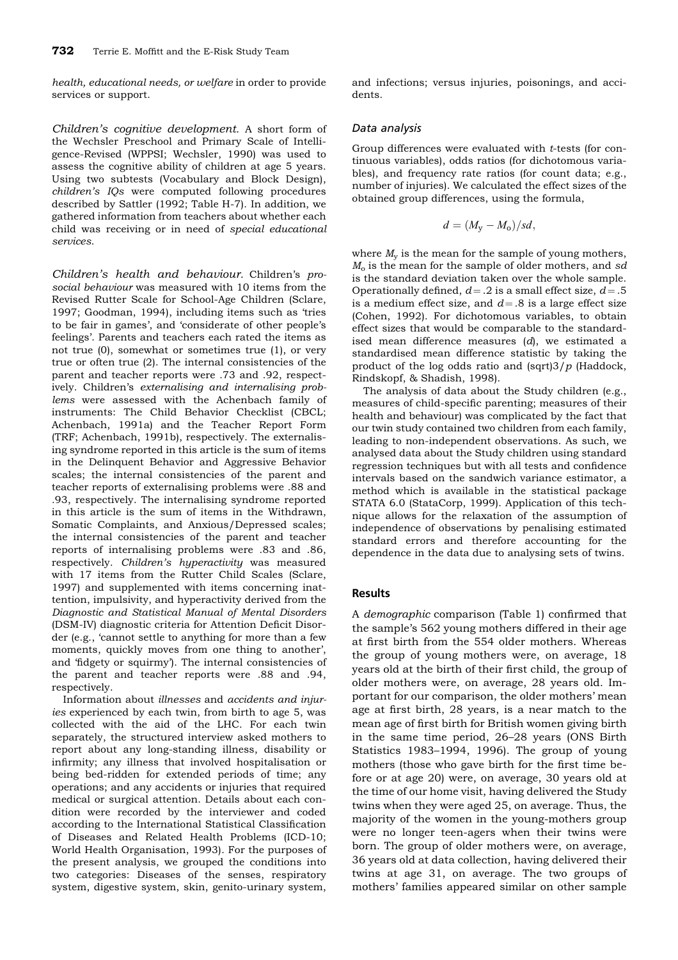health, educational needs, or welfare in order to provide services or support.

Children's cognitive development. A short form of the Wechsler Preschool and Primary Scale of Intelligence-Revised (WPPSI; Wechsler, 1990) was used to assess the cognitive ability of children at age 5 years. Using two subtests (Vocabulary and Block Design), children's IQs were computed following procedures described by Sattler (1992; Table H-7). In addition, we gathered information from teachers about whether each child was receiving or in need of special educational services.

Children's health and behaviour. Children's prosocial behaviour was measured with 10 items from the Revised Rutter Scale for School-Age Children (Sclare, 1997; Goodman, 1994), including items such as 'tries to be fair in games', and 'considerate of other people's feelings'. Parents and teachers each rated the items as not true (0), somewhat or sometimes true (1), or very true or often true (2). The internal consistencies of the parent and teacher reports were .73 and .92, respectively. Children's externalising and internalising problems were assessed with the Achenbach family of instruments: The Child Behavior Checklist (CBCL; Achenbach, 1991a) and the Teacher Report Form (TRF; Achenbach, 1991b), respectively. The externalising syndrome reported in this article is the sum of items in the Delinquent Behavior and Aggressive Behavior scales; the internal consistencies of the parent and teacher reports of externalising problems were .88 and .93, respectively. The internalising syndrome reported in this article is the sum of items in the Withdrawn, Somatic Complaints, and Anxious/Depressed scales; the internal consistencies of the parent and teacher reports of internalising problems were .83 and .86, respectively. Children's hyperactivity was measured with 17 items from the Rutter Child Scales (Sclare, 1997) and supplemented with items concerning inattention, impulsivity, and hyperactivity derived from the Diagnostic and Statistical Manual of Mental Disorders (DSM-IV) diagnostic criteria for Attention Deficit Disorder (e.g., 'cannot settle to anything for more than a few moments, quickly moves from one thing to another', and 'fidgety or squirmy'). The internal consistencies of the parent and teacher reports were .88 and .94, respectively.

Information about illnesses and accidents and injuries experienced by each twin, from birth to age 5, was collected with the aid of the LHC. For each twin separately, the structured interview asked mothers to report about any long-standing illness, disability or infirmity; any illness that involved hospitalisation or being bed-ridden for extended periods of time; any operations; and any accidents or injuries that required medical or surgical attention. Details about each condition were recorded by the interviewer and coded according to the International Statistical Classification of Diseases and Related Health Problems (ICD-10; World Health Organisation, 1993). For the purposes of the present analysis, we grouped the conditions into two categories: Diseases of the senses, respiratory system, digestive system, skin, genito-urinary system,

and infections; versus injuries, poisonings, and accidents.

#### Data analysis

Group differences were evaluated with t-tests (for continuous variables), odds ratios (for dichotomous variables), and frequency rate ratios (for count data; e.g., number of injuries). We calculated the effect sizes of the obtained group differences, using the formula,

$$
d = (M_{\rm y} - M_{\rm o})/sd,
$$

where  $M_v$  is the mean for the sample of young mothers,  $M<sub>o</sub>$  is the mean for the sample of older mothers, and sd is the standard deviation taken over the whole sample. Operationally defined,  $d = .2$  is a small effect size,  $d = .5$ is a medium effect size, and  $d = .8$  is a large effect size (Cohen, 1992). For dichotomous variables, to obtain effect sizes that would be comparable to the standardised mean difference measures  $(d)$ , we estimated a standardised mean difference statistic by taking the product of the log odds ratio and  $(sqrt)3/p$  (Haddock, Rindskopf, & Shadish, 1998).

The analysis of data about the Study children (e.g., measures of child-specific parenting; measures of their health and behaviour) was complicated by the fact that our twin study contained two children from each family, leading to non-independent observations. As such, we analysed data about the Study children using standard regression techniques but with all tests and confidence intervals based on the sandwich variance estimator, a method which is available in the statistical package STATA 6.0 (StataCorp, 1999). Application of this technique allows for the relaxation of the assumption of independence of observations by penalising estimated standard errors and therefore accounting for the dependence in the data due to analysing sets of twins.

#### Results

A demographic comparison (Table 1) confirmed that the sample's 562 young mothers differed in their age at first birth from the 554 older mothers. Whereas the group of young mothers were, on average, 18 years old at the birth of their first child, the group of older mothers were, on average, 28 years old. Important for our comparison, the older mothers' mean age at first birth, 28 years, is a near match to the mean age of first birth for British women giving birth in the same time period, 26–28 years (ONS Birth Statistics 1983–1994, 1996). The group of young mothers (those who gave birth for the first time before or at age 20) were, on average, 30 years old at the time of our home visit, having delivered the Study twins when they were aged 25, on average. Thus, the majority of the women in the young-mothers group were no longer teen-agers when their twins were born. The group of older mothers were, on average, 36 years old at data collection, having delivered their twins at age 31, on average. The two groups of mothers' families appeared similar on other sample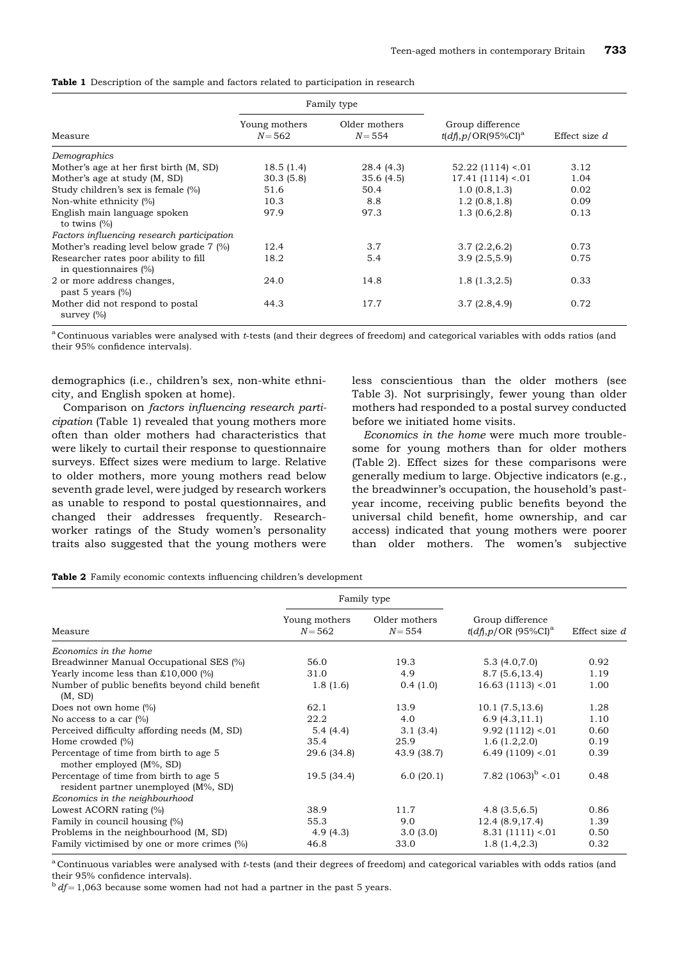|                                                                   |                            | Family type                |                                                               |               |
|-------------------------------------------------------------------|----------------------------|----------------------------|---------------------------------------------------------------|---------------|
| Measure                                                           | Young mothers<br>$N = 562$ | Older mothers<br>$N = 554$ | Group difference<br>$t(d\text{f})$ , p/OR(95%CI) <sup>a</sup> | Effect size d |
| Demographics                                                      |                            |                            |                                                               |               |
| Mother's age at her first birth (M, SD)                           | 18.5(1.4)                  | 28.4(4.3)                  | 52.22(1114) < 0.01                                            | 3.12          |
| Mother's age at study (M, SD)                                     | 30.3(5.8)                  | 35.6(4.5)                  | 17.41(1114) < 01                                              | 1.04          |
| Study children's sex is female (%)                                | 51.6                       | 50.4                       | 1.0(0.8, 1.3)                                                 | 0.02          |
| Non-white ethnicity (%)                                           | 10.3                       | 8.8                        | 1.2(0.8, 1.8)                                                 | 0.09          |
| English main language spoken<br>to twins $(\%)$                   | 97.9                       | 97.3                       | 1.3(0.6, 2.8)                                                 | 0.13          |
| Factors influencing research participation                        |                            |                            |                                                               |               |
| Mother's reading level below grade 7 (%)                          | 12.4                       | 3.7                        | 3.7(2.2,6.2)                                                  | 0.73          |
| Researcher rates poor ability to fill<br>in question aires $(\%)$ | 18.2                       | 5.4                        | 3.9(2.5,5.9)                                                  | 0.75          |
| 2 or more address changes,<br>past 5 years $(\%)$                 | 24.0                       | 14.8                       | 1.8(1.3, 2.5)                                                 | 0.33          |
| Mother did not respond to postal<br>survey $(\%)$                 | 44.3                       | 17.7                       | 3.7(2.8, 4.9)                                                 | 0.72          |

Table 1 Description of the sample and factors related to participation in research

a Continuous variables were analysed with t-tests (and their degrees of freedom) and categorical variables with odds ratios (and their 95% confidence intervals).

demographics (i.e., children's sex, non-white ethnicity, and English spoken at home).

Comparison on factors influencing research participation (Table 1) revealed that young mothers more often than older mothers had characteristics that were likely to curtail their response to questionnaire surveys. Effect sizes were medium to large. Relative to older mothers, more young mothers read below seventh grade level, were judged by research workers as unable to respond to postal questionnaires, and changed their addresses frequently. Researchworker ratings of the Study women's personality traits also suggested that the young mothers were less conscientious than the older mothers (see Table 3). Not surprisingly, fewer young than older mothers had responded to a postal survey conducted before we initiated home visits.

Economics in the home were much more troublesome for young mothers than for older mothers (Table 2). Effect sizes for these comparisons were generally medium to large. Objective indicators (e.g., the breadwinner's occupation, the household's pastyear income, receiving public benefits beyond the universal child benefit, home ownership, and car access) indicated that young mothers were poorer than older mothers. The women's subjective

Table 2 Family economic contexts influencing children's development

|                                                                                |                            | Family type                |                                                                         |               |  |
|--------------------------------------------------------------------------------|----------------------------|----------------------------|-------------------------------------------------------------------------|---------------|--|
| Measure                                                                        | Young mothers<br>$N = 562$ | Older mothers<br>$N = 554$ | Group difference<br>$t(d\hat{\theta}, p/\text{OR}$ (95%CI) <sup>a</sup> | Effect size d |  |
| Economics in the home                                                          |                            |                            |                                                                         |               |  |
| Breadwinner Manual Occupational SES (%)                                        | 56.0                       | 19.3                       | 5.3(4.0, 7.0)                                                           | 0.92          |  |
| Yearly income less than $£10,000$ (%)                                          | 31.0                       | 4.9                        | 8.7(5.6, 13.4)                                                          | 1.19          |  |
| Number of public benefits beyond child benefit<br>(M, SD)                      | 1.8(1.6)                   | 0.4(1.0)                   | $16.63$ (1113) < 01                                                     | 1.00          |  |
| Does not own home (%)                                                          | 62.1                       | 13.9                       | 10.1(7.5, 13.6)                                                         | 1.28          |  |
| No access to a car $(\%)$                                                      | 22.2                       | 4.0                        | 6.9(4.3, 11.1)                                                          | 1.10          |  |
| Perceived difficulty affording needs (M, SD)                                   | 5.4(4.4)                   | 3.1(3.4)                   | 9.92(1112) < 0.01                                                       | 0.60          |  |
| Home crowded (%)                                                               | 35.4                       | 25.9                       | 1.6(1.2, 2.0)                                                           | 0.19          |  |
| Percentage of time from birth to age 5<br>mother employed (M%, SD)             | 29.6 (34.8)                | 43.9 (38.7)                | 6.49(1109) < .01                                                        | 0.39          |  |
| Percentage of time from birth to age 5<br>resident partner unemployed (M%, SD) | 19.5 (34.4)                | 6.0(20.1)                  | 7.82 $(1063)^{b}$ < 01                                                  | 0.48          |  |
| Economics in the neighbourhood                                                 |                            |                            |                                                                         |               |  |
| Lowest ACORN rating (%)                                                        | 38.9                       | 11.7                       | 4.8(3.5,6.5)                                                            | 0.86          |  |
| Family in council housing (%)                                                  | 55.3                       | 9.0                        | 12.4 (8.9, 17.4)                                                        | 1.39          |  |
| Problems in the neighbourhood (M, SD)                                          | 4.9(4.3)                   | 3.0(3.0)                   | 8.31(1111) < .01                                                        | 0.50          |  |
| Family victimised by one or more crimes (%)                                    | 46.8                       | 33.0                       | 1.8(1.4, 2.3)                                                           | 0.32          |  |

<sup>a</sup> Continuous variables were analysed with t-tests (and their degrees of freedom) and categorical variables with odds ratios (and their 95% confidence intervals).

 $b$   $df = 1,063$  because some women had not had a partner in the past 5 years.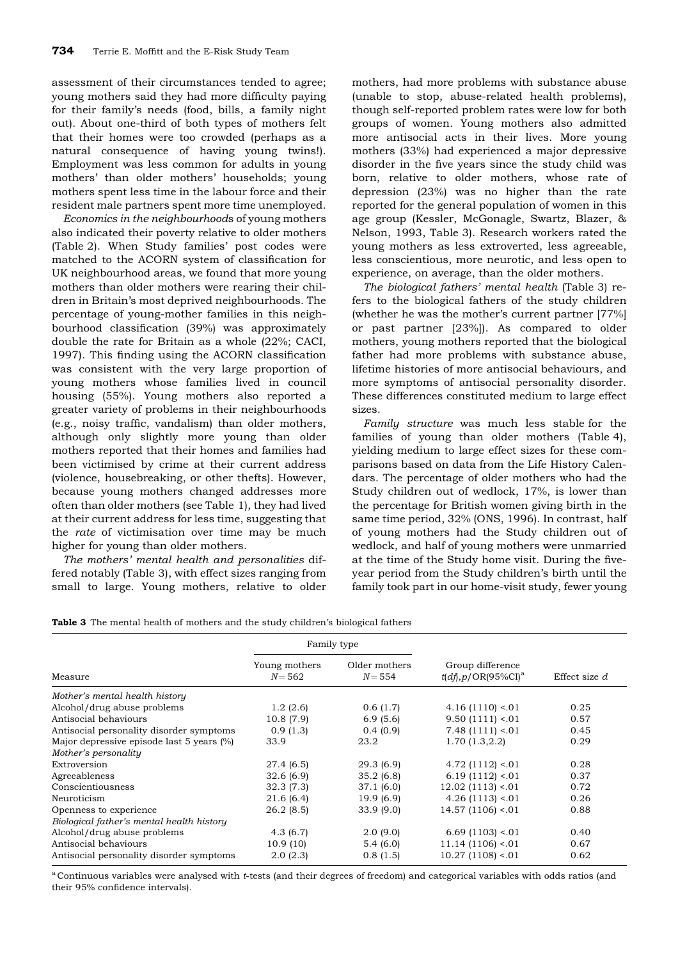assessment of their circumstances tended to agree; young mothers said they had more difficulty paying for their family's needs (food, bills, a family night out). About one-third of both types of mothers felt that their homes were too crowded (perhaps as a natural consequence of having young twins!). Employment was less common for adults in young mothers' than older mothers' households; young mothers spent less time in the labour force and their resident male partners spent more time unemployed.

Economics in the neighbourhoods of young mothers also indicated their poverty relative to older mothers (Table 2). When Study families' post codes were matched to the ACORN system of classification for UK neighbourhood areas, we found that more young mothers than older mothers were rearing their children in Britain's most deprived neighbourhoods. The percentage of young-mother families in this neighbourhood classification (39%) was approximately double the rate for Britain as a whole (22%; CACI, 1997). This finding using the ACORN classification was consistent with the very large proportion of young mothers whose families lived in council housing (55%). Young mothers also reported a greater variety of problems in their neighbourhoods (e.g., noisy traffic, vandalism) than older mothers, although only slightly more young than older mothers reported that their homes and families had been victimised by crime at their current address (violence, housebreaking, or other thefts). However, because young mothers changed addresses more often than older mothers (see Table 1), they had lived at their current address for less time, suggesting that the *rate* of victimisation over time may be much higher for young than older mothers.

The mothers' mental health and personalities differed notably (Table 3), with effect sizes ranging from small to large. Young mothers, relative to older mothers, had more problems with substance abuse (unable to stop, abuse-related health problems), though self-reported problem rates were low for both groups of women. Young mothers also admitted more antisocial acts in their lives. More young mothers (33%) had experienced a major depressive disorder in the five years since the study child was born, relative to older mothers, whose rate of depression (23%) was no higher than the rate reported for the general population of women in this age group (Kessler, McGonagle, Swartz, Blazer, & Nelson, 1993, Table 3). Research workers rated the young mothers as less extroverted, less agreeable, less conscientious, more neurotic, and less open to experience, on average, than the older mothers.

The biological fathers' mental health (Table 3) refers to the biological fathers of the study children (whether he was the mother's current partner [77%] or past partner [23%]). As compared to older mothers, young mothers reported that the biological father had more problems with substance abuse, lifetime histories of more antisocial behaviours, and more symptoms of antisocial personality disorder. These differences constituted medium to large effect sizes.

Family structure was much less stable for the families of young than older mothers (Table 4), yielding medium to large effect sizes for these comparisons based on data from the Life History Calendars. The percentage of older mothers who had the Study children out of wedlock, 17%, is lower than the percentage for British women giving birth in the same time period, 32% (ONS, 1996). In contrast, half of young mothers had the Study children out of wedlock, and half of young mothers were unmarried at the time of the Study home visit. During the fiveyear period from the Study children's birth until the family took part in our home-visit study, fewer young

| Table 3 The mental health of mothers and the study children's biological fathers |  |  |  |
|----------------------------------------------------------------------------------|--|--|--|
|----------------------------------------------------------------------------------|--|--|--|

|                                           | Family type                |                            |                                                              | Effect size d |  |
|-------------------------------------------|----------------------------|----------------------------|--------------------------------------------------------------|---------------|--|
| Measure                                   | Young mothers<br>$N = 562$ | Older mothers<br>$N = 554$ | Group difference<br>$t(d\text{f}$ , p/OR(95%CI) <sup>a</sup> |               |  |
| Mother's mental health history            |                            |                            |                                                              |               |  |
| Alcohol/drug abuse problems               | 1.2(2.6)                   | 0.6(1.7)                   | 4.16(1110) < 0.01                                            | 0.25          |  |
| Antisocial behaviours                     | 10.8(7.9)                  | 6.9(5.6)                   | 9.50(1111) < 01                                              | 0.57          |  |
| Antisocial personality disorder symptoms  | 0.9(1.3)                   | 0.4(0.9)                   | 7.48(1111) < 01                                              | 0.45          |  |
| Major depressive episode last 5 years (%) | 33.9                       | 23.2                       | 1.70(1.3,2.2)                                                | 0.29          |  |
| Mother's personality                      |                            |                            |                                                              |               |  |
| Extroversion                              | 27.4(6.5)                  | 29.3(6.9)                  | 4.72(1112) < 0.01                                            | 0.28          |  |
| Agreeableness                             | 32.6(6.9)                  | 35.2(6.8)                  | 6.19(1112) < 01                                              | 0.37          |  |
| Conscientiousness                         | 32.3(7.3)                  | 37.1(6.0)                  | $12.02$ (1113) <.01                                          | 0.72          |  |
| Neuroticism                               | 21.6(6.4)                  | 19.9(6.9)                  | 4.26(1113) < 01                                              | 0.26          |  |
| Openness to experience                    | 26.2(8.5)                  | 33.9(9.0)                  | 14.57(1106) < 0.01                                           | 0.88          |  |
| Biological father's mental health history |                            |                            |                                                              |               |  |
| Alcohol/drug abuse problems               | 4.3(6.7)                   | 2.0(9.0)                   | $6.69$ (1103) < 01                                           | 0.40          |  |
| Antisocial behaviours                     | 10.9(10)                   | 5.4(6.0)                   | 11.14(1106) < 01                                             | 0.67          |  |
| Antisocial personality disorder symptoms  | 2.0(2.3)                   | 0.8(1.5)                   | 10.27(1108) < 0.01                                           | 0.62          |  |

<sup>a</sup> Continuous variables were analysed with t-tests (and their degrees of freedom) and categorical variables with odds ratios (and their 95% confidence intervals).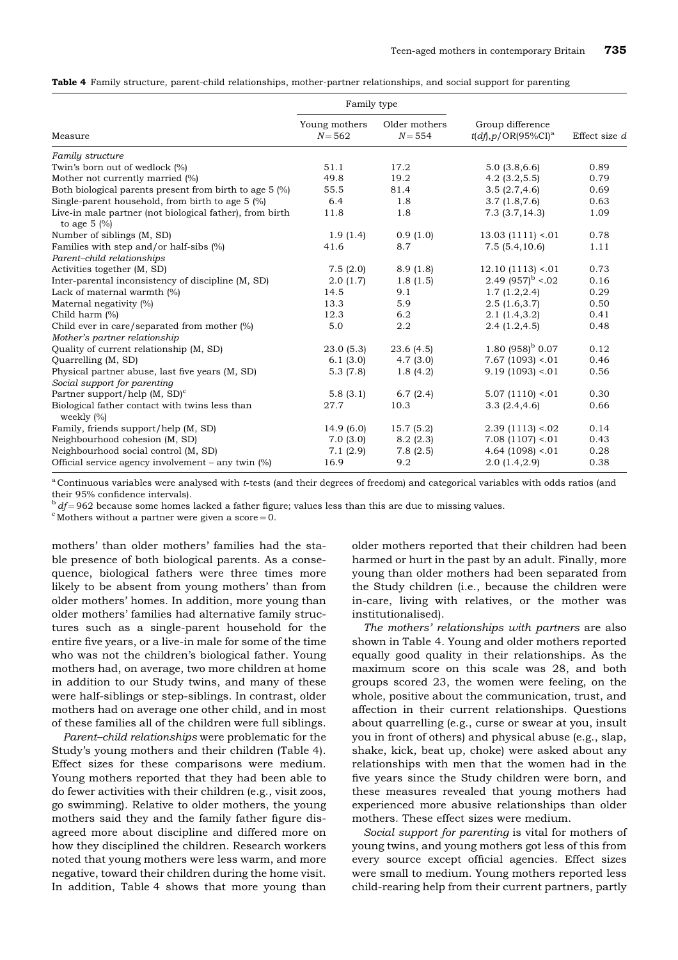|  |  | <b>Table 4</b> Family structure, parent-child relationships, mother-partner relationships, and social support for parenting |  |  |  |  |
|--|--|-----------------------------------------------------------------------------------------------------------------------------|--|--|--|--|
|--|--|-----------------------------------------------------------------------------------------------------------------------------|--|--|--|--|

|                                                                            | Family type                |                            |                                                             |               |
|----------------------------------------------------------------------------|----------------------------|----------------------------|-------------------------------------------------------------|---------------|
| Measure                                                                    | Young mothers<br>$N = 562$ | Older mothers<br>$N = 554$ | Group difference<br>$t(d\text{f}), p/\text{OR}(95\%CI)^{a}$ | Effect size d |
| Family structure                                                           |                            |                            |                                                             |               |
| Twin's born out of wedlock (%)                                             | 51.1                       | 17.2                       | 5.0(3.8,6.6)                                                | 0.89          |
| Mother not currently married (%)                                           | 49.8                       | 19.2                       | 4.2(3.2, 5.5)                                               | 0.79          |
| Both biological parents present from birth to age 5 (%)                    | 55.5                       | 81.4                       | 3.5(2.7, 4.6)                                               | 0.69          |
| Single-parent household, from birth to age 5 (%)                           | 6.4                        | 1.8                        | 3.7(1.8, 7.6)                                               | 0.63          |
| Live-in male partner (not biological father), from birth<br>to age $5$ (%) | 11.8                       | 1.8                        | 7.3(3.7, 14.3)                                              | 1.09          |
| Number of siblings (M, SD)                                                 | 1.9(1.4)                   | 0.9(1.0)                   | 13.03(1111) < 01                                            | 0.78          |
| Families with step and/or half-sibs $(\%)$                                 | 41.6                       | 8.7                        | 7.5(5.4, 10.6)                                              | 1.11          |
| Parent-child relationships                                                 |                            |                            |                                                             |               |
| Activities together (M, SD)                                                | 7.5(2.0)                   | 8.9(1.8)                   | 12.10(1113) < 01                                            | 0.73          |
| Inter-parental inconsistency of discipline (M, SD)                         | 2.0(1.7)                   | 1.8(1.5)                   | 2.49 $(957)^{b}$ <.02                                       | 0.16          |
| Lack of maternal warmth (%)                                                | 14.5                       | 9.1                        | 1.7(1.2, 2.4)                                               | 0.29          |
| Maternal negativity (%)                                                    | 13.3                       | 5.9                        | 2.5(1.6,3.7)                                                | 0.50          |
| Child harm (%)                                                             | 12.3                       | 6.2                        | 2.1(1.4,3.2)                                                | 0.41          |
| Child ever in care/separated from mother (%)                               | 5.0                        | 2.2                        | 2.4(1.2, 4.5)                                               | 0.48          |
| Mother's partner relationship                                              |                            |                            |                                                             |               |
| Quality of current relationship (M, SD)                                    | 23.0(5.3)                  | 23.6(4.5)                  | $1.80$ (958) <sup>b</sup> 0.07                              | 0.12          |
| Quarrelling (M, SD)                                                        | 6.1(3.0)                   | 4.7(3.0)                   | $7.67$ (1093) <.01                                          | 0.46          |
| Physical partner abuse, last five years (M, SD)                            | 5.3(7.8)                   | 1.8(4.2)                   | 9.19(1093) < 01                                             | 0.56          |
| Social support for parenting                                               |                            |                            |                                                             |               |
| Partner support/help $(M, SD)^c$                                           | 5.8(3.1)                   | 6.7(2.4)                   | 5.07(1110) < 01                                             | 0.30          |
| Biological father contact with twins less than<br>weekly $(\%)$            | 27.7                       | 10.3                       | 3.3(2.4, 4.6)                                               | 0.66          |
| Family, friends support/help (M, SD)                                       | 14.9(6.0)                  | 15.7(5.2)                  | 2.39(1113) < 0.02                                           | 0.14          |
| Neighbourhood cohesion (M, SD)                                             | 7.0(3.0)                   | 8.2(2.3)                   | 7.08(1107) < .01                                            | 0.43          |
| Neighbourhood social control (M, SD)                                       | 7.1(2.9)                   | 7.8(2.5)                   | 4.64(1098) < 01                                             | 0.28          |
| Official service agency involvement – any twin $\frac{1}{2}$               | 16.9                       | 9.2                        | 2.0(1.4,2.9)                                                | 0.38          |

<sup>a</sup> Continuous variables were analysed with t-tests (and their degrees of freedom) and categorical variables with odds ratios (and their 95% confidence intervals).

 $\rm ^b$  *df* = 962 because some homes lacked a father figure; values less than this are due to missing values.  $\rm ^c$  Mothers without a partner were given a score = 0.

mothers' than older mothers' families had the stable presence of both biological parents. As a consequence, biological fathers were three times more likely to be absent from young mothers' than from older mothers' homes. In addition, more young than older mothers' families had alternative family structures such as a single-parent household for the entire five years, or a live-in male for some of the time who was not the children's biological father. Young mothers had, on average, two more children at home in addition to our Study twins, and many of these were half-siblings or step-siblings. In contrast, older mothers had on average one other child, and in most of these families all of the children were full siblings.

Parent–child relationships were problematic for the Study's young mothers and their children (Table 4). Effect sizes for these comparisons were medium. Young mothers reported that they had been able to do fewer activities with their children (e.g., visit zoos, go swimming). Relative to older mothers, the young mothers said they and the family father figure disagreed more about discipline and differed more on how they disciplined the children. Research workers noted that young mothers were less warm, and more negative, toward their children during the home visit. In addition, Table 4 shows that more young than

older mothers reported that their children had been harmed or hurt in the past by an adult. Finally, more young than older mothers had been separated from the Study children (i.e., because the children were in-care, living with relatives, or the mother was institutionalised).

The mothers' relationships with partners are also shown in Table 4. Young and older mothers reported equally good quality in their relationships. As the maximum score on this scale was 28, and both groups scored 23, the women were feeling, on the whole, positive about the communication, trust, and affection in their current relationships. Questions about quarrelling (e.g., curse or swear at you, insult you in front of others) and physical abuse (e.g., slap, shake, kick, beat up, choke) were asked about any relationships with men that the women had in the five years since the Study children were born, and these measures revealed that young mothers had experienced more abusive relationships than older mothers. These effect sizes were medium.

Social support for parenting is vital for mothers of young twins, and young mothers got less of this from every source except official agencies. Effect sizes were small to medium. Young mothers reported less child-rearing help from their current partners, partly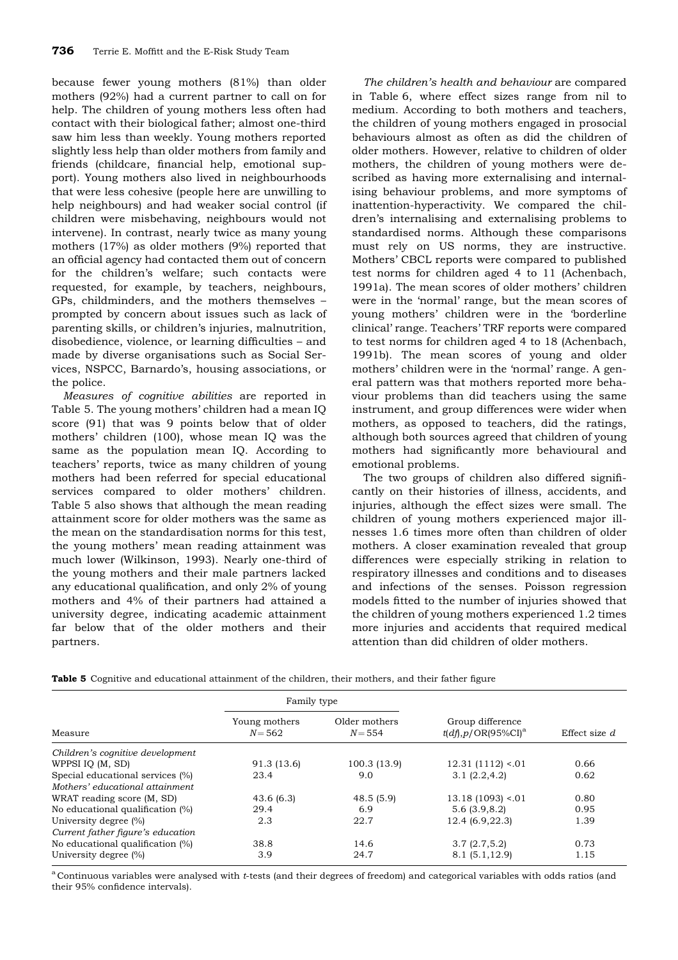because fewer young mothers (81%) than older mothers (92%) had a current partner to call on for help. The children of young mothers less often had contact with their biological father; almost one-third saw him less than weekly. Young mothers reported slightly less help than older mothers from family and friends (childcare, financial help, emotional support). Young mothers also lived in neighbourhoods that were less cohesive (people here are unwilling to help neighbours) and had weaker social control (if children were misbehaving, neighbours would not intervene). In contrast, nearly twice as many young mothers (17%) as older mothers (9%) reported that an official agency had contacted them out of concern for the children's welfare; such contacts were requested, for example, by teachers, neighbours, GPs, childminders, and the mothers themselves – prompted by concern about issues such as lack of parenting skills, or children's injuries, malnutrition, disobedience, violence, or learning difficulties – and made by diverse organisations such as Social Services, NSPCC, Barnardo's, housing associations, or the police.

Measures of cognitive abilities are reported in Table 5. The young mothers' children had a mean IQ score (91) that was 9 points below that of older mothers' children (100), whose mean IQ was the same as the population mean IQ. According to teachers' reports, twice as many children of young mothers had been referred for special educational services compared to older mothers' children. Table 5 also shows that although the mean reading attainment score for older mothers was the same as the mean on the standardisation norms for this test, the young mothers' mean reading attainment was much lower (Wilkinson, 1993). Nearly one-third of the young mothers and their male partners lacked any educational qualification, and only 2% of young mothers and 4% of their partners had attained a university degree, indicating academic attainment far below that of the older mothers and their partners.

The children's health and behaviour are compared in Table 6, where effect sizes range from nil to medium. According to both mothers and teachers, the children of young mothers engaged in prosocial behaviours almost as often as did the children of older mothers. However, relative to children of older mothers, the children of young mothers were described as having more externalising and internalising behaviour problems, and more symptoms of inattention-hyperactivity. We compared the children's internalising and externalising problems to standardised norms. Although these comparisons must rely on US norms, they are instructive. Mothers' CBCL reports were compared to published test norms for children aged 4 to 11 (Achenbach, 1991a). The mean scores of older mothers' children were in the 'normal' range, but the mean scores of young mothers' children were in the 'borderline clinical' range. Teachers' TRF reports were compared to test norms for children aged 4 to 18 (Achenbach, 1991b). The mean scores of young and older mothers' children were in the 'normal' range. A general pattern was that mothers reported more behaviour problems than did teachers using the same instrument, and group differences were wider when mothers, as opposed to teachers, did the ratings, although both sources agreed that children of young mothers had significantly more behavioural and emotional problems.

The two groups of children also differed significantly on their histories of illness, accidents, and injuries, although the effect sizes were small. The children of young mothers experienced major illnesses 1.6 times more often than children of older mothers. A closer examination revealed that group differences were especially striking in relation to respiratory illnesses and conditions and to diseases and infections of the senses. Poisson regression models fitted to the number of injuries showed that the children of young mothers experienced 1.2 times more injuries and accidents that required medical attention than did children of older mothers.

Table 5 Cognitive and educational attainment of the children, their mothers, and their father figure

|                                   | Family type                |                            |                                                               |               |  |
|-----------------------------------|----------------------------|----------------------------|---------------------------------------------------------------|---------------|--|
| Measure                           | Young mothers<br>$N = 562$ | Older mothers<br>$N = 554$ | Group difference<br>$t(d\hat{\theta}, p/\text{OR}(95\%CI)^a)$ | Effect size d |  |
| Children's cognitive development  |                            |                            |                                                               |               |  |
| WPPSI IQ (M, SD)                  | 91.3 (13.6)                | 100.3(13.9)                | 12.31(1112) < 0.01                                            | 0.66          |  |
| Special educational services (%)  | 23.4                       | 9.0                        | 3.1(2.2, 4.2)                                                 | 0.62          |  |
| Mothers' educational attainment   |                            |                            |                                                               |               |  |
| WRAT reading score (M, SD)        | 43.6(6.3)                  | 48.5(5.9)                  | 13.18(1093) < 0.01                                            | 0.80          |  |
| No educational qualification (%)  | 29.4                       | 6.9                        | 5.6(3.9, 8.2)                                                 | 0.95          |  |
| University degree (%)             | 2.3                        | 22.7                       | 12.4 (6.9,22.3)                                               | 1.39          |  |
| Current father figure's education |                            |                            |                                                               |               |  |
| No educational qualification (%)  | 38.8                       | 14.6                       | 3.7(2.7,5.2)                                                  | 0.73          |  |
| University degree (%)             | 3.9                        | 24.7                       | 8.1(5.1, 12.9)                                                | 1.15          |  |

a Continuous variables were analysed with t-tests (and their degrees of freedom) and categorical variables with odds ratios (and their 95% confidence intervals).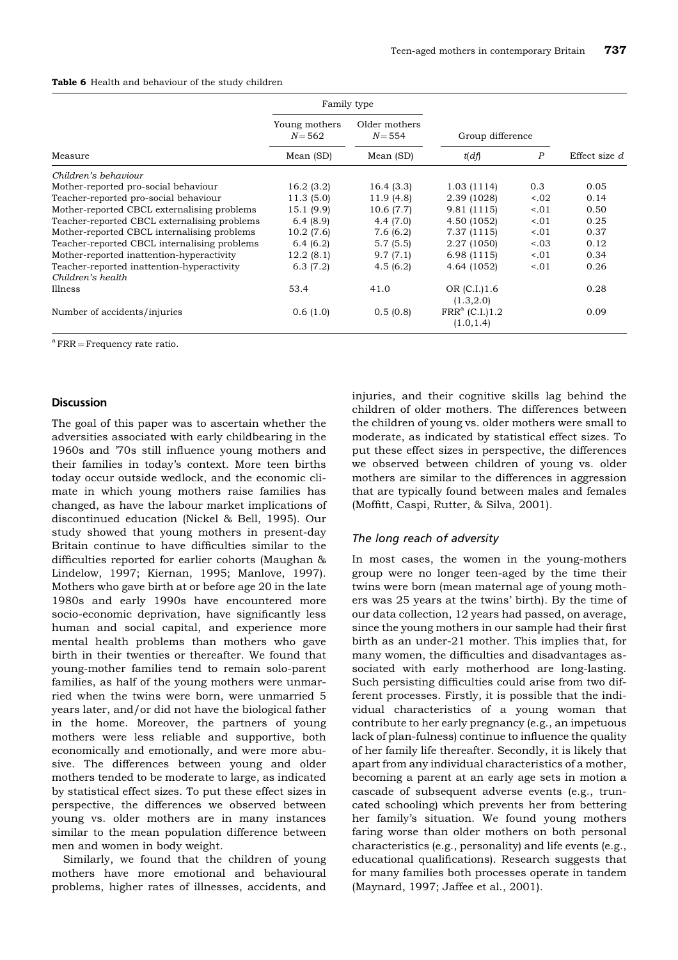Table 6 Health and behaviour of the study children

|                                              |                            | Family type                |                                 |                  |               |  |
|----------------------------------------------|----------------------------|----------------------------|---------------------------------|------------------|---------------|--|
|                                              | Young mothers<br>$N = 562$ | Older mothers<br>$N = 554$ | Group difference                |                  |               |  |
| Measure                                      | Mean (SD)                  | Mean (SD)                  | $t(d\mathbf{f})$                | $\boldsymbol{P}$ | Effect size d |  |
| Children's behaviour                         |                            |                            |                                 |                  |               |  |
| Mother-reported pro-social behaviour         | 16.2(3.2)                  | 16.4(3.3)                  | 1.03(1114)                      | 0.3              | 0.05          |  |
| Teacher-reported pro-social behaviour        | 11.3(5.0)                  | 11.9(4.8)                  | 2.39 (1028)                     | $-.02$           | 0.14          |  |
| Mother-reported CBCL externalising problems  | 15.1(9.9)                  | 10.6(7.7)                  | 9.81 (1115)                     | $-.01$           | 0.50          |  |
| Teacher-reported CBCL externalising problems | 6.4(8.9)                   | 4.4(7.0)                   | 4.50 (1052)                     | $-.01$           | 0.25          |  |
| Mother-reported CBCL internalising problems  | 10.2(7.6)                  | 7.6(6.2)                   | 7.37 (1115)                     | $-.01$           | 0.37          |  |
| Teacher-reported CBCL internalising problems | 6.4(6.2)                   | 5.7(5.5)                   | 2.27 (1050)                     | $-.03$           | 0.12          |  |
| Mother-reported inattention-hyperactivity    | 12.2(8.1)                  | 9.7(7.1)                   | 6.98 (1115)                     | $-.01$           | 0.34          |  |
| Teacher-reported inattention-hyperactivity   | 6.3(7.2)                   | 4.5(6.2)                   | 4.64 (1052)                     | $-.01$           | 0.26          |  |
| Children's health                            |                            |                            |                                 |                  |               |  |
| Illness                                      | 53.4                       | 41.0                       | OR (C.I.) 1.6<br>(1.3, 2.0)     |                  | 0.28          |  |
| Number of accidents/injuries                 | 0.6(1.0)                   | 0.5(0.8)                   | $FRR^a (C.I.)1.2$<br>(1.0, 1.4) |                  | 0.09          |  |

 $a$  FRR = Frequency rate ratio.

## **Discussion**

The goal of this paper was to ascertain whether the adversities associated with early childbearing in the 1960s and '70s still influence young mothers and their families in today's context. More teen births today occur outside wedlock, and the economic climate in which young mothers raise families has changed, as have the labour market implications of discontinued education (Nickel & Bell, 1995). Our study showed that young mothers in present-day Britain continue to have difficulties similar to the difficulties reported for earlier cohorts (Maughan & Lindelow, 1997; Kiernan, 1995; Manlove, 1997). Mothers who gave birth at or before age 20 in the late 1980s and early 1990s have encountered more socio-economic deprivation, have significantly less human and social capital, and experience more mental health problems than mothers who gave birth in their twenties or thereafter. We found that young-mother families tend to remain solo-parent families, as half of the young mothers were unmarried when the twins were born, were unmarried 5 years later, and/or did not have the biological father in the home. Moreover, the partners of young mothers were less reliable and supportive, both economically and emotionally, and were more abusive. The differences between young and older mothers tended to be moderate to large, as indicated by statistical effect sizes. To put these effect sizes in perspective, the differences we observed between young vs. older mothers are in many instances similar to the mean population difference between men and women in body weight.

Similarly, we found that the children of young mothers have more emotional and behavioural problems, higher rates of illnesses, accidents, and

injuries, and their cognitive skills lag behind the children of older mothers. The differences between the children of young vs. older mothers were small to moderate, as indicated by statistical effect sizes. To put these effect sizes in perspective, the differences we observed between children of young vs. older mothers are similar to the differences in aggression that are typically found between males and females (Moffitt, Caspi, Rutter, & Silva, 2001).

# The long reach of adversity

In most cases, the women in the young-mothers group were no longer teen-aged by the time their twins were born (mean maternal age of young mothers was 25 years at the twins' birth). By the time of our data collection, 12 years had passed, on average, since the young mothers in our sample had their first birth as an under-21 mother. This implies that, for many women, the difficulties and disadvantages associated with early motherhood are long-lasting. Such persisting difficulties could arise from two different processes. Firstly, it is possible that the individual characteristics of a young woman that contribute to her early pregnancy (e.g., an impetuous lack of plan-fulness) continue to influence the quality of her family life thereafter. Secondly, it is likely that apart from any individual characteristics of a mother, becoming a parent at an early age sets in motion a cascade of subsequent adverse events (e.g., truncated schooling) which prevents her from bettering her family's situation. We found young mothers faring worse than older mothers on both personal characteristics (e.g., personality) and life events (e.g., educational qualifications). Research suggests that for many families both processes operate in tandem (Maynard, 1997; Jaffee et al., 2001).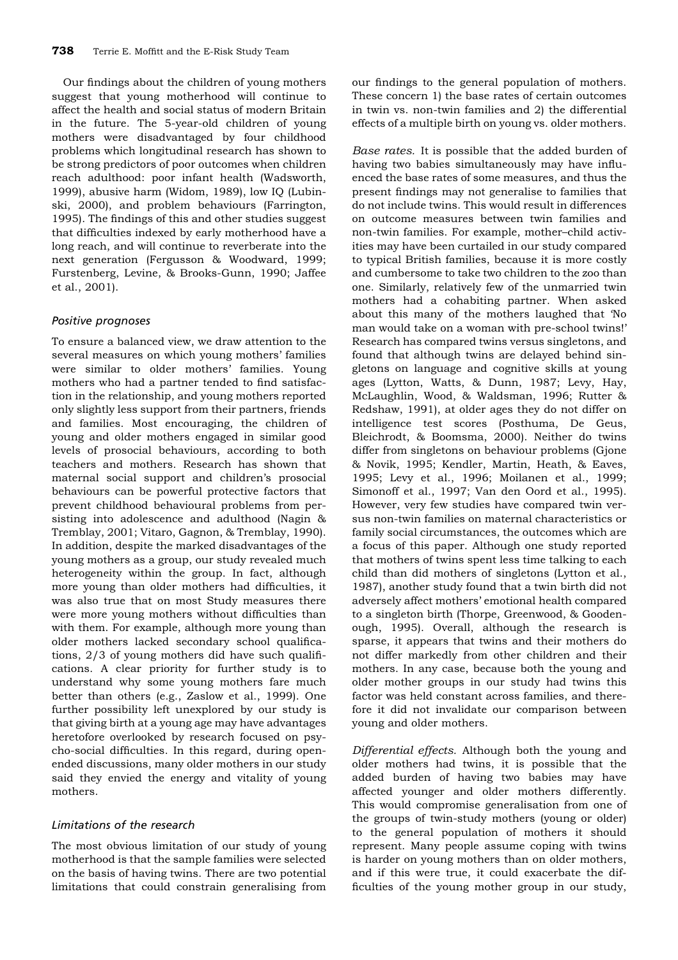Our findings about the children of young mothers suggest that young motherhood will continue to affect the health and social status of modern Britain in the future. The 5-year-old children of young mothers were disadvantaged by four childhood problems which longitudinal research has shown to be strong predictors of poor outcomes when children reach adulthood: poor infant health (Wadsworth, 1999), abusive harm (Widom, 1989), low IQ (Lubinski, 2000), and problem behaviours (Farrington, 1995). The findings of this and other studies suggest that difficulties indexed by early motherhood have a long reach, and will continue to reverberate into the next generation (Fergusson & Woodward, 1999; Furstenberg, Levine, & Brooks-Gunn, 1990; Jaffee et al., 2001).

## Positive prognoses

To ensure a balanced view, we draw attention to the several measures on which young mothers' families were similar to older mothers' families. Young mothers who had a partner tended to find satisfaction in the relationship, and young mothers reported only slightly less support from their partners, friends and families. Most encouraging, the children of young and older mothers engaged in similar good levels of prosocial behaviours, according to both teachers and mothers. Research has shown that maternal social support and children's prosocial behaviours can be powerful protective factors that prevent childhood behavioural problems from persisting into adolescence and adulthood (Nagin & Tremblay, 2001; Vitaro, Gagnon, & Tremblay, 1990). In addition, despite the marked disadvantages of the young mothers as a group, our study revealed much heterogeneity within the group. In fact, although more young than older mothers had difficulties, it was also true that on most Study measures there were more young mothers without difficulties than with them. For example, although more young than older mothers lacked secondary school qualifications, 2/3 of young mothers did have such qualifications. A clear priority for further study is to understand why some young mothers fare much better than others (e.g., Zaslow et al., 1999). One further possibility left unexplored by our study is that giving birth at a young age may have advantages heretofore overlooked by research focused on psycho-social difficulties. In this regard, during openended discussions, many older mothers in our study said they envied the energy and vitality of young mothers.

# Limitations of the research

The most obvious limitation of our study of young motherhood is that the sample families were selected on the basis of having twins. There are two potential limitations that could constrain generalising from our findings to the general population of mothers. These concern 1) the base rates of certain outcomes in twin vs. non-twin families and 2) the differential effects of a multiple birth on young vs. older mothers.

Base rates. It is possible that the added burden of having two babies simultaneously may have influenced the base rates of some measures, and thus the present findings may not generalise to families that do not include twins. This would result in differences on outcome measures between twin families and non-twin families. For example, mother–child activities may have been curtailed in our study compared to typical British families, because it is more costly and cumbersome to take two children to the zoo than one. Similarly, relatively few of the unmarried twin mothers had a cohabiting partner. When asked about this many of the mothers laughed that 'No man would take on a woman with pre-school twins!' Research has compared twins versus singletons, and found that although twins are delayed behind singletons on language and cognitive skills at young ages (Lytton, Watts, & Dunn, 1987; Levy, Hay, McLaughlin, Wood, & Waldsman, 1996; Rutter & Redshaw, 1991), at older ages they do not differ on intelligence test scores (Posthuma, De Geus, Bleichrodt, & Boomsma, 2000). Neither do twins differ from singletons on behaviour problems (Gjone & Novik, 1995; Kendler, Martin, Heath, & Eaves, 1995; Levy et al., 1996; Moilanen et al., 1999; Simonoff et al., 1997; Van den Oord et al., 1995). However, very few studies have compared twin versus non-twin families on maternal characteristics or family social circumstances, the outcomes which are a focus of this paper. Although one study reported that mothers of twins spent less time talking to each child than did mothers of singletons (Lytton et al., 1987), another study found that a twin birth did not adversely affect mothers' emotional health compared to a singleton birth (Thorpe, Greenwood, & Goodenough, 1995). Overall, although the research is sparse, it appears that twins and their mothers do not differ markedly from other children and their mothers. In any case, because both the young and older mother groups in our study had twins this factor was held constant across families, and therefore it did not invalidate our comparison between young and older mothers.

Differential effects. Although both the young and older mothers had twins, it is possible that the added burden of having two babies may have affected younger and older mothers differently. This would compromise generalisation from one of the groups of twin-study mothers (young or older) to the general population of mothers it should represent. Many people assume coping with twins is harder on young mothers than on older mothers, and if this were true, it could exacerbate the difficulties of the young mother group in our study,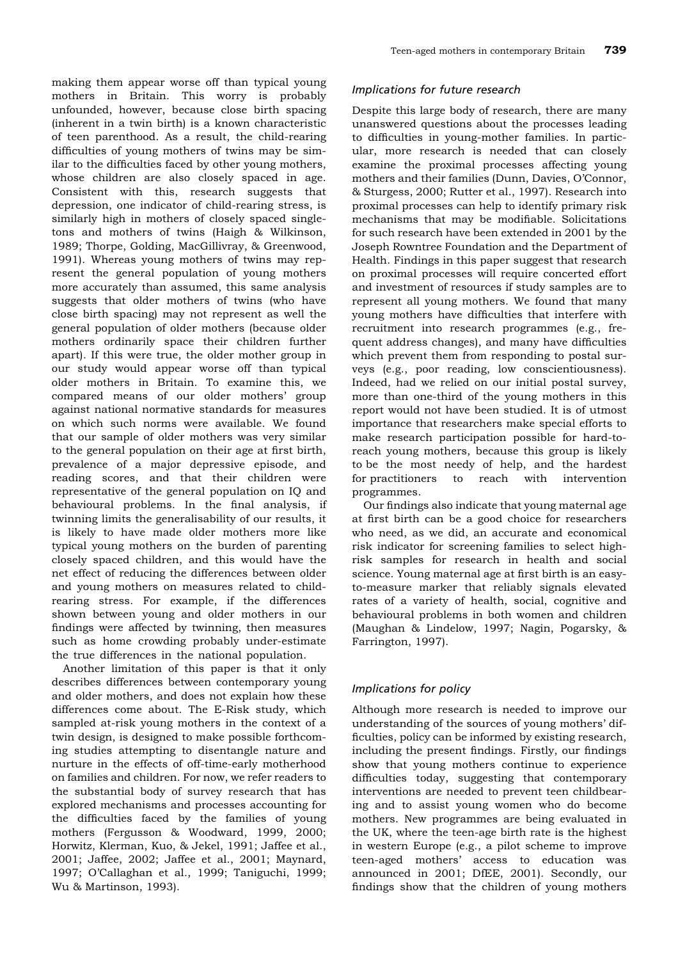making them appear worse off than typical young mothers in Britain. This worry is probably unfounded, however, because close birth spacing (inherent in a twin birth) is a known characteristic of teen parenthood. As a result, the child-rearing difficulties of young mothers of twins may be similar to the difficulties faced by other young mothers, whose children are also closely spaced in age. Consistent with this, research suggests that depression, one indicator of child-rearing stress, is similarly high in mothers of closely spaced singletons and mothers of twins (Haigh & Wilkinson, 1989; Thorpe, Golding, MacGillivray, & Greenwood, 1991). Whereas young mothers of twins may represent the general population of young mothers more accurately than assumed, this same analysis suggests that older mothers of twins (who have close birth spacing) may not represent as well the general population of older mothers (because older mothers ordinarily space their children further apart). If this were true, the older mother group in our study would appear worse off than typical older mothers in Britain. To examine this, we compared means of our older mothers' group against national normative standards for measures on which such norms were available. We found that our sample of older mothers was very similar to the general population on their age at first birth, prevalence of a major depressive episode, and reading scores, and that their children were representative of the general population on IQ and behavioural problems. In the final analysis, if twinning limits the generalisability of our results, it is likely to have made older mothers more like typical young mothers on the burden of parenting closely spaced children, and this would have the net effect of reducing the differences between older and young mothers on measures related to childrearing stress. For example, if the differences shown between young and older mothers in our findings were affected by twinning, then measures such as home crowding probably under-estimate the true differences in the national population.

Another limitation of this paper is that it only describes differences between contemporary young and older mothers, and does not explain how these differences come about. The E-Risk study, which sampled at-risk young mothers in the context of a twin design, is designed to make possible forthcoming studies attempting to disentangle nature and nurture in the effects of off-time-early motherhood on families and children. For now, we refer readers to the substantial body of survey research that has explored mechanisms and processes accounting for the difficulties faced by the families of young mothers (Fergusson & Woodward, 1999, 2000; Horwitz, Klerman, Kuo, & Jekel, 1991; Jaffee et al., 2001; Jaffee, 2002; Jaffee et al., 2001; Maynard, 1997; O'Callaghan et al., 1999; Taniguchi, 1999; Wu & Martinson, 1993).

## Implications for future research

Despite this large body of research, there are many unanswered questions about the processes leading to difficulties in young-mother families. In particular, more research is needed that can closely examine the proximal processes affecting young mothers and their families (Dunn, Davies, O'Connor, & Sturgess, 2000; Rutter et al., 1997). Research into proximal processes can help to identify primary risk mechanisms that may be modifiable. Solicitations for such research have been extended in 2001 by the Joseph Rowntree Foundation and the Department of Health. Findings in this paper suggest that research on proximal processes will require concerted effort and investment of resources if study samples are to represent all young mothers. We found that many young mothers have difficulties that interfere with recruitment into research programmes (e.g., frequent address changes), and many have difficulties which prevent them from responding to postal surveys (e.g., poor reading, low conscientiousness). Indeed, had we relied on our initial postal survey, more than one-third of the young mothers in this report would not have been studied. It is of utmost importance that researchers make special efforts to make research participation possible for hard-toreach young mothers, because this group is likely to be the most needy of help, and the hardest for practitioners to reach with intervention programmes.

Our findings also indicate that young maternal age at first birth can be a good choice for researchers who need, as we did, an accurate and economical risk indicator for screening families to select highrisk samples for research in health and social science. Young maternal age at first birth is an easyto-measure marker that reliably signals elevated rates of a variety of health, social, cognitive and behavioural problems in both women and children (Maughan & Lindelow, 1997; Nagin, Pogarsky, & Farrington, 1997).

# Implications for policy

Although more research is needed to improve our understanding of the sources of young mothers' difficulties, policy can be informed by existing research, including the present findings. Firstly, our findings show that young mothers continue to experience difficulties today, suggesting that contemporary interventions are needed to prevent teen childbearing and to assist young women who do become mothers. New programmes are being evaluated in the UK, where the teen-age birth rate is the highest in western Europe (e.g., a pilot scheme to improve teen-aged mothers' access to education was announced in 2001; DfEE, 2001). Secondly, our findings show that the children of young mothers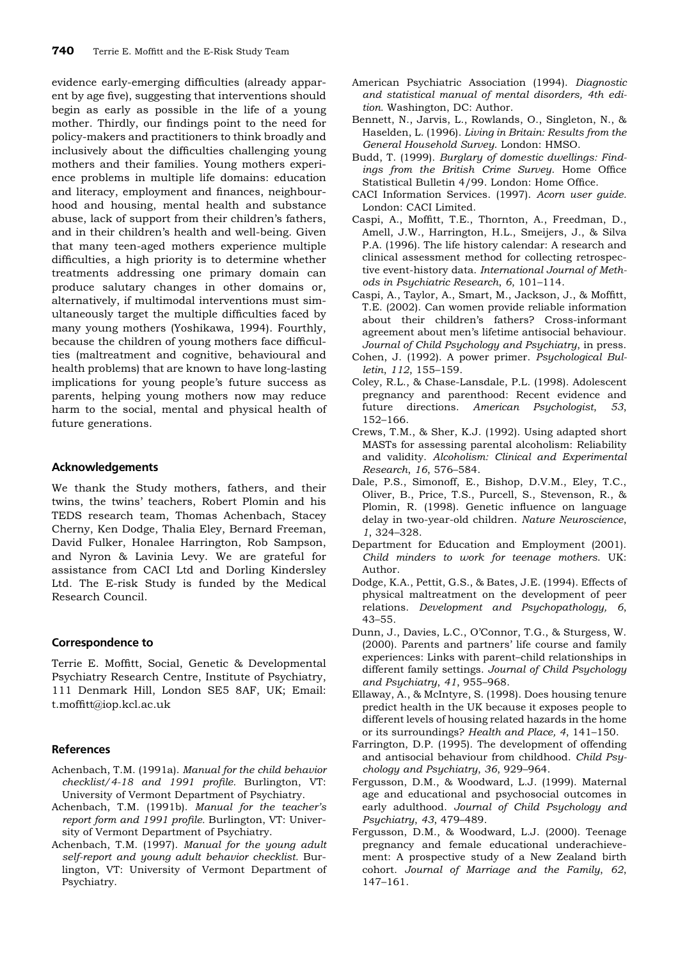evidence early-emerging difficulties (already apparent by age five), suggesting that interventions should begin as early as possible in the life of a young mother. Thirdly, our findings point to the need for policy-makers and practitioners to think broadly and inclusively about the difficulties challenging young mothers and their families. Young mothers experience problems in multiple life domains: education and literacy, employment and finances, neighbourhood and housing, mental health and substance abuse, lack of support from their children's fathers, and in their children's health and well-being. Given that many teen-aged mothers experience multiple difficulties, a high priority is to determine whether treatments addressing one primary domain can produce salutary changes in other domains or, alternatively, if multimodal interventions must simultaneously target the multiple difficulties faced by many young mothers (Yoshikawa, 1994). Fourthly, because the children of young mothers face difficulties (maltreatment and cognitive, behavioural and health problems) that are known to have long-lasting implications for young people's future success as parents, helping young mothers now may reduce harm to the social, mental and physical health of future generations.

# Acknowledgements

We thank the Study mothers, fathers, and their twins, the twins' teachers, Robert Plomin and his TEDS research team, Thomas Achenbach, Stacey Cherny, Ken Dodge, Thalia Eley, Bernard Freeman, David Fulker, Honalee Harrington, Rob Sampson, and Nyron & Lavinia Levy. We are grateful for assistance from CACI Ltd and Dorling Kindersley Ltd. The E-risk Study is funded by the Medical Research Council.

#### Correspondence to

Terrie E. Moffitt, Social, Genetic & Developmental Psychiatry Research Centre, Institute of Psychiatry, 111 Denmark Hill, London SE5 8AF, UK; Email: t.moffitt@iop.kcl.ac.uk

#### **References**

- Achenbach, T.M. (1991a). Manual for the child behavior checklist/4-18 and 1991 profile. Burlington, VT: University of Vermont Department of Psychiatry.
- Achenbach, T.M. (1991b). Manual for the teacher's report form and 1991 profile. Burlington, VT: University of Vermont Department of Psychiatry.
- Achenbach, T.M. (1997). Manual for the young adult self-report and young adult behavior checklist. Burlington, VT: University of Vermont Department of Psychiatry.
- American Psychiatric Association (1994). Diagnostic and statistical manual of mental disorders, 4th edition. Washington, DC: Author.
- Bennett, N., Jarvis, L., Rowlands, O., Singleton, N., & Haselden, L. (1996). Living in Britain: Results from the General Household Survey. London: HMSO.
- Budd, T. (1999). Burglary of domestic dwellings: Findings from the British Crime Survey. Home Office Statistical Bulletin 4/99. London: Home Office.
- CACI Information Services. (1997). Acorn user guide. London: CACI Limited.
- Caspi, A., Moffitt, T.E., Thornton, A., Freedman, D., Amell, J.W., Harrington, H.L., Smeijers, J., & Silva P.A. (1996). The life history calendar: A research and clinical assessment method for collecting retrospective event-history data. International Journal of Methods in Psychiatric Research, 6, 101–114.
- Caspi, A., Taylor, A., Smart, M., Jackson, J., & Moffitt, T.E. (2002). Can women provide reliable information about their children's fathers? Cross-informant agreement about men's lifetime antisocial behaviour. Journal of Child Psychology and Psychiatry, in press.
- Cohen, J. (1992). A power primer. Psychological Bulletin, 112, 155–159.
- Coley, R.L., & Chase-Lansdale, P.L. (1998). Adolescent pregnancy and parenthood: Recent evidence and future directions. American Psychologist, 53, 152–166.
- Crews, T.M., & Sher, K.J. (1992). Using adapted short MASTs for assessing parental alcoholism: Reliability and validity. Alcoholism: Clinical and Experimental Research, 16, 576–584.
- Dale, P.S., Simonoff, E., Bishop, D.V.M., Eley, T.C., Oliver, B., Price, T.S., Purcell, S., Stevenson, R., & Plomin, R. (1998). Genetic influence on language delay in two-year-old children. Nature Neuroscience, 1, 324–328.
- Department for Education and Employment (2001). Child minders to work for teenage mothers. UK: Author.
- Dodge, K.A., Pettit, G.S., & Bates, J.E. (1994). Effects of physical maltreatment on the development of peer relations. Development and Psychopathology, 6, 43–55.
- Dunn, J., Davies, L.C., O'Connor, T.G., & Sturgess, W. (2000). Parents and partners' life course and family experiences: Links with parent–child relationships in different family settings. Journal of Child Psychology and Psychiatry, 41, 955–968.
- Ellaway, A., & McIntyre, S. (1998). Does housing tenure predict health in the UK because it exposes people to different levels of housing related hazards in the home or its surroundings? Health and Place, 4, 141–150.
- Farrington, D.P. (1995). The development of offending and antisocial behaviour from childhood. Child Psychology and Psychiatry, 36, 929–964.
- Fergusson, D.M., & Woodward, L.J. (1999). Maternal age and educational and psychosocial outcomes in early adulthood. Journal of Child Psychology and Psychiatry, 43, 479–489.
- Fergusson, D.M., & Woodward, L.J. (2000). Teenage pregnancy and female educational underachievement: A prospective study of a New Zealand birth cohort. Journal of Marriage and the Family, 62, 147–161.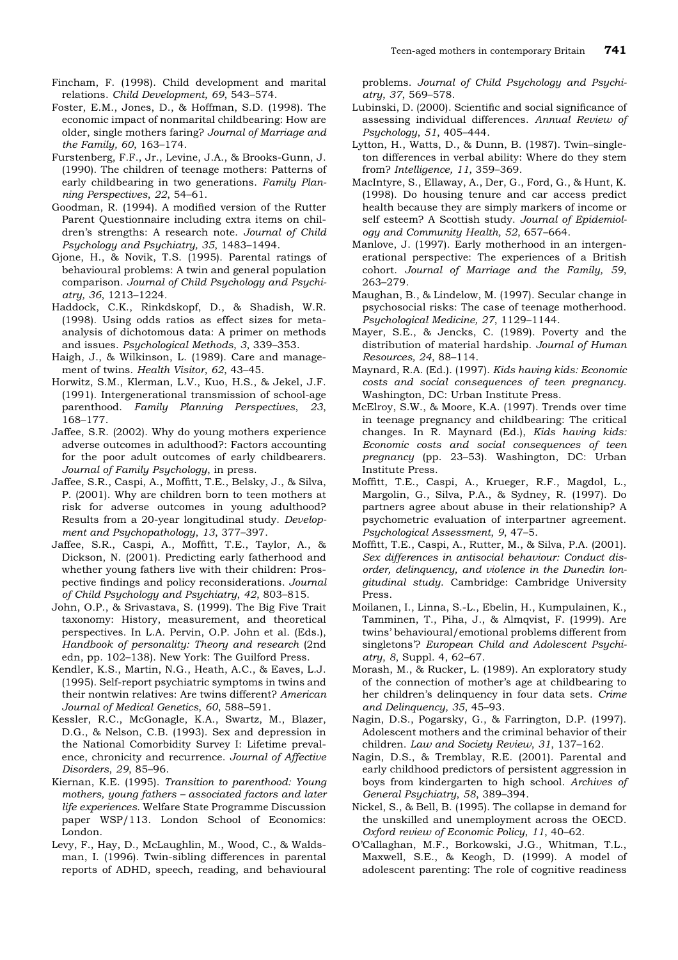- Fincham, F. (1998). Child development and marital relations. Child Development, 69, 543–574.
- Foster, E.M., Jones, D., & Hoffman, S.D. (1998). The economic impact of nonmarital childbearing: How are older, single mothers faring? Journal of Marriage and the Family, 60, 163–174.
- Furstenberg, F.F., Jr., Levine, J.A., & Brooks-Gunn, J. (1990). The children of teenage mothers: Patterns of early childbearing in two generations. Family Planning Perspectives, 22, 54–61.
- Goodman, R. (1994). A modified version of the Rutter Parent Questionnaire including extra items on children's strengths: A research note. Journal of Child Psychology and Psychiatry, 35, 1483–1494.
- Gjone, H., & Novik, T.S. (1995). Parental ratings of behavioural problems: A twin and general population comparison. Journal of Child Psychology and Psychiatry, 36, 1213–1224.
- Haddock, C.K., Rinkdskopf, D., & Shadish, W.R. (1998). Using odds ratios as effect sizes for metaanalysis of dichotomous data: A primer on methods and issues. Psychological Methods, 3, 339–353.
- Haigh, J., & Wilkinson, L. (1989). Care and management of twins. Health Visitor, 62, 43–45.
- Horwitz, S.M., Klerman, L.V., Kuo, H.S., & Jekel, J.F. (1991). Intergenerational transmission of school-age parenthood. Family Planning Perspectives, 23, 168–177.
- Jaffee, S.R. (2002). Why do young mothers experience adverse outcomes in adulthood?: Factors accounting for the poor adult outcomes of early childbearers. Journal of Family Psychology, in press.
- Jaffee, S.R., Caspi, A., Moffitt, T.E., Belsky, J., & Silva, P. (2001). Why are children born to teen mothers at risk for adverse outcomes in young adulthood? Results from a 20-year longitudinal study. Development and Psychopathology, 13, 377–397.
- Jaffee, S.R., Caspi, A., Moffitt, T.E., Taylor, A., & Dickson, N. (2001). Predicting early fatherhood and whether young fathers live with their children: Prospective findings and policy reconsiderations. Journal of Child Psychology and Psychiatry, 42, 803–815.
- John, O.P., & Srivastava, S. (1999). The Big Five Trait taxonomy: History, measurement, and theoretical perspectives. In L.A. Pervin, O.P. John et al. (Eds.), Handbook of personality: Theory and research (2nd edn, pp. 102–138). New York: The Guilford Press.
- Kendler, K.S., Martin, N.G., Heath, A.C., & Eaves, L.J. (1995). Self-report psychiatric symptoms in twins and their nontwin relatives: Are twins different? American Journal of Medical Genetics, 60, 588–591.
- Kessler, R.C., McGonagle, K.A., Swartz, M., Blazer, D.G., & Nelson, C.B. (1993). Sex and depression in the National Comorbidity Survey I: Lifetime prevalence, chronicity and recurrence. Journal of Affective Disorders, 29, 85–96.
- Kiernan, K.E. (1995). Transition to parenthood: Young mothers, young fathers – associated factors and later life experiences. Welfare State Programme Discussion paper WSP/113. London School of Economics: London.
- Levy, F., Hay, D., McLaughlin, M., Wood, C., & Waldsman, I. (1996). Twin-sibling differences in parental reports of ADHD, speech, reading, and behavioural

problems. Journal of Child Psychology and Psychiatry, 37, 569–578.

- Lubinski, D. (2000). Scientific and social significance of assessing individual differences. Annual Review of Psychology, 51, 405–444.
- Lytton, H., Watts, D., & Dunn, B. (1987). Twin–singleton differences in verbal ability: Where do they stem from? Intelligence, 11, 359–369.
- MacIntyre, S., Ellaway, A., Der, G., Ford, G., & Hunt, K. (1998). Do housing tenure and car access predict health because they are simply markers of income or self esteem? A Scottish study. Journal of Epidemiology and Community Health, 52, 657–664.
- Manlove, J. (1997). Early motherhood in an intergenerational perspective: The experiences of a British cohort. Journal of Marriage and the Family, 59, 263–279.
- Maughan, B., & Lindelow, M. (1997). Secular change in psychosocial risks: The case of teenage motherhood. Psychological Medicine, 27, 1129–1144.
- Mayer, S.E., & Jencks, C. (1989). Poverty and the distribution of material hardship. Journal of Human Resources, 24, 88–114.
- Maynard, R.A. (Ed.). (1997). Kids having kids: Economic costs and social consequences of teen pregnancy. Washington, DC: Urban Institute Press.
- McElroy, S.W., & Moore, K.A. (1997). Trends over time in teenage pregnancy and childbearing: The critical changes. In R. Maynard (Ed.), Kids having kids: Economic costs and social consequences of teen pregnancy (pp. 23–53). Washington, DC: Urban Institute Press.
- Moffitt, T.E., Caspi, A., Krueger, R.F., Magdol, L., Margolin, G., Silva, P.A., & Sydney, R. (1997). Do partners agree about abuse in their relationship? A psychometric evaluation of interpartner agreement. Psychological Assessment, 9, 47–5.
- Moffitt, T.E., Caspi, A., Rutter, M., & Silva, P.A. (2001). Sex differences in antisocial behaviour: Conduct disorder, delinquency, and violence in the Dunedin longitudinal study. Cambridge: Cambridge University Press.
- Moilanen, I., Linna, S.-L., Ebelin, H., Kumpulainen, K., Tamminen, T., Piha, J., & Almqvist, F. (1999). Are twins' behavioural/emotional problems different from singletons'? European Child and Adolescent Psychiatry, 8, Suppl. 4, 62–67.
- Morash, M., & Rucker, L. (1989). An exploratory study of the connection of mother's age at childbearing to her children's delinquency in four data sets. Crime and Delinquency, 35, 45–93.
- Nagin, D.S., Pogarsky, G., & Farrington, D.P. (1997). Adolescent mothers and the criminal behavior of their children. Law and Society Review, 31, 137–162.
- Nagin, D.S., & Tremblay, R.E. (2001). Parental and early childhood predictors of persistent aggression in boys from kindergarten to high school. Archives of General Psychiatry, 58, 389–394.
- Nickel, S., & Bell, B. (1995). The collapse in demand for the unskilled and unemployment across the OECD. Oxford review of Economic Policy, 11, 40–62.
- O'Callaghan, M.F., Borkowski, J.G., Whitman, T.L., Maxwell, S.E., & Keogh, D. (1999). A model of adolescent parenting: The role of cognitive readiness